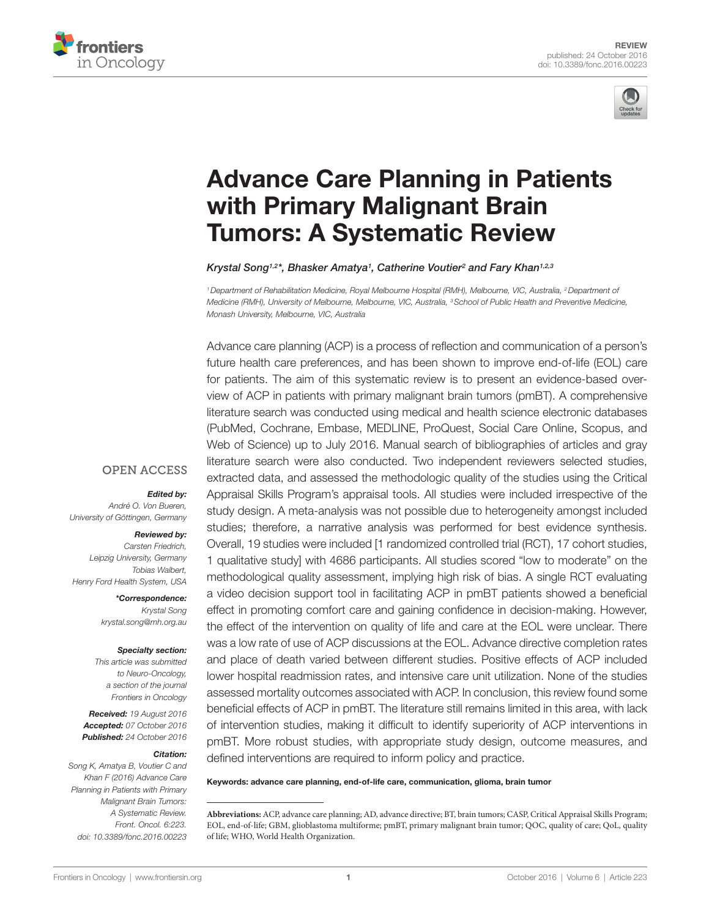



# [Advance Care Planning in Patients](http://www.frontiersin.org/Journal/10.3389/fonc.2016.00223/abstract)  [with Primary Malignant Brain](http://www.frontiersin.org/Journal/10.3389/fonc.2016.00223/abstract)  [Tumors: A Systematic Review](http://www.frontiersin.org/Journal/10.3389/fonc.2016.00223/abstract)

*[Krystal Song1](http://loop.frontiersin.org/people/369844/overview),2\*, [Bhasker Amatya1](http://loop.frontiersin.org/people/168250/overview) , [Catherine Voutier2](http://loop.frontiersin.org/people/384869/overview) and [Fary Khan1](http://loop.frontiersin.org/people/182565/overview),2,3*

*1Department of Rehabilitation Medicine, Royal Melbourne Hospital (RMH), Melbourne, VIC, Australia, 2Department of Medicine (RMH), University of Melbourne, Melbourne, VIC, Australia, 3School of Public Health and Preventive Medicine, Monash University, Melbourne, VIC, Australia*

Advance care planning (ACP) is a process of reflection and communication of a person's future health care preferences, and has been shown to improve end-of-life (EOL) care for patients. The aim of this systematic review is to present an evidence-based overview of ACP in patients with primary malignant brain tumors (pmBT). A comprehensive literature search was conducted using medical and health science electronic databases (PubMed, Cochrane, Embase, MEDLINE, ProQuest, Social Care Online, Scopus, and Web of Science) up to July 2016. Manual search of bibliographies of articles and gray literature search were also conducted. Two independent reviewers selected studies, extracted data, and assessed the methodologic quality of the studies using the Critical Appraisal Skills Program's appraisal tools. All studies were included irrespective of the study design. A meta-analysis was not possible due to heterogeneity amongst included studies; therefore, a narrative analysis was performed for best evidence synthesis. Overall, 19 studies were included [1 randomized controlled trial (RCT), 17 cohort studies, 1 qualitative study] with 4686 participants. All studies scored "low to moderate" on the methodological quality assessment, implying high risk of bias. A single RCT evaluating a video decision support tool in facilitating ACP in pmBT patients showed a beneficial effect in promoting comfort care and gaining confidence in decision-making. However, the effect of the intervention on quality of life and care at the EOL were unclear. There was a low rate of use of ACP discussions at the EOL. Advance directive completion rates and place of death varied between different studies. Positive effects of ACP included lower hospital readmission rates, and intensive care unit utilization. None of the studies assessed mortality outcomes associated with ACP. In conclusion, this review found some beneficial effects of ACP in pmBT. The literature still remains limited in this area, with lack of intervention studies, making it difficult to identify superiority of ACP interventions in pmBT. More robust studies, with appropriate study design, outcome measures, and defined interventions are required to inform policy and practice.

Keywords: advance care planning, end-of-life care, communication, glioma, brain tumor

## **OPEN ACCESS**

## *Edited by:*

*André O. Von Bueren, University of Göttingen, Germany*

#### *Reviewed by:*

*Carsten Friedrich, Leipzig University, Germany Tobias Walbert, Henry Ford Health System, USA*

> *\*Correspondence: Krystal Song [krystal.song@mh.org.au](mailto:krystal.song@mh.org.au)*

#### *Specialty section:*

*This article was submitted to Neuro-Oncology, a section of the journal Frontiers in Oncology*

*Received: 19 August 2016 Accepted: 07 October 2016 Published: 24 October 2016*

#### *Citation:*

*Song K, Amatya B, Voutier C and Khan F (2016) Advance Care Planning in Patients with Primary Malignant Brain Tumors: A Systematic Review. Front. Oncol. 6:223. doi: [10.3389/fonc.2016.00223](http://dx.doi.org/10.3389/fonc.2016.00223)*

**Abbreviations:** ACP, advance care planning; AD, advance directive; BT, brain tumors; CASP, Critical Appraisal Skills Program; EOL, end-of-life; GBM, glioblastoma multiforme; pmBT, primary malignant brain tumor; QOC, quality of care; QoL, quality of life; WHO, World Health Organization.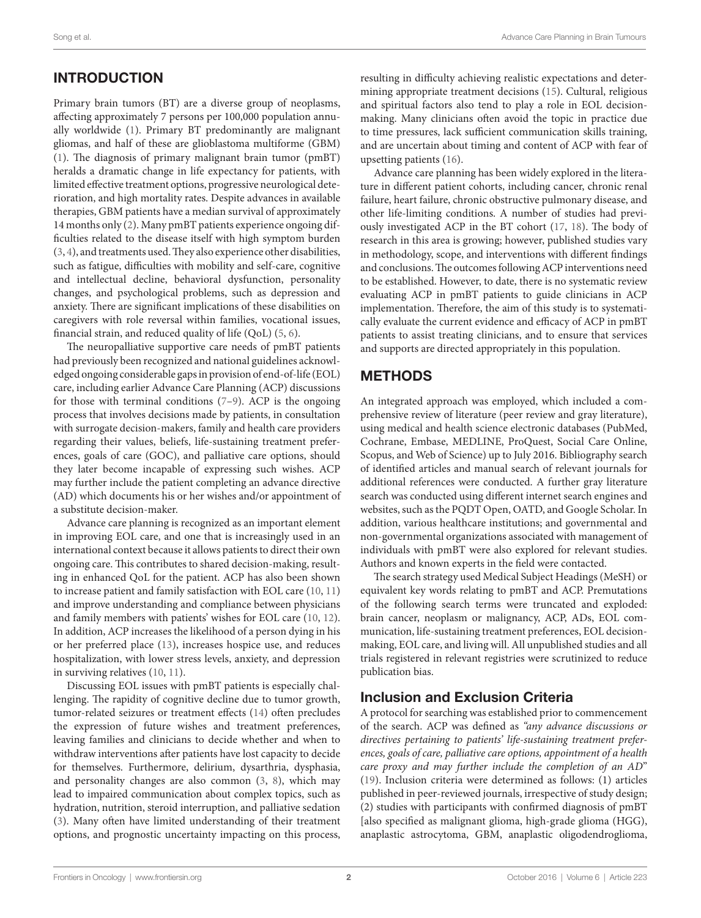# INTRODUCTION

Primary brain tumors (BT) are a diverse group of neoplasms, affecting approximately 7 persons per 100,000 population annually worldwide [\(1\)](#page-12-0). Primary BT predominantly are malignant gliomas, and half of these are glioblastoma multiforme (GBM) ([1](#page-12-0)). The diagnosis of primary malignant brain tumor (pmBT) heralds a dramatic change in life expectancy for patients, with limited effective treatment options, progressive neurological deterioration, and high mortality rates. Despite advances in available therapies, GBM patients have a median survival of approximately 14 months only [\(2\)](#page-12-1). Many pmBT patients experience ongoing difficulties related to the disease itself with high symptom burden ([3](#page-12-2), [4](#page-12-3)), and treatments used. They also experience other disabilities, such as fatigue, difficulties with mobility and self-care, cognitive and intellectual decline, behavioral dysfunction, personality changes, and psychological problems, such as depression and anxiety. There are significant implications of these disabilities on caregivers with role reversal within families, vocational issues, financial strain, and reduced quality of life (QoL) [\(5,](#page-12-4) [6\)](#page-12-5).

The neuropalliative supportive care needs of pmBT patients had previously been recognized and national guidelines acknowledged ongoing considerable gaps in provision of end-of-life (EOL) care, including earlier Advance Care Planning (ACP) discussions for those with terminal conditions [\(7–](#page-12-6)[9](#page-12-7)). ACP is the ongoing process that involves decisions made by patients, in consultation with surrogate decision-makers, family and health care providers regarding their values, beliefs, life-sustaining treatment preferences, goals of care (GOC), and palliative care options, should they later become incapable of expressing such wishes. ACP may further include the patient completing an advance directive (AD) which documents his or her wishes and/or appointment of a substitute decision-maker.

Advance care planning is recognized as an important element in improving EOL care, and one that is increasingly used in an international context because it allows patients to direct their own ongoing care. This contributes to shared decision-making, resulting in enhanced QoL for the patient. ACP has also been shown to increase patient and family satisfaction with EOL care [\(10,](#page-12-8) [11\)](#page-12-9) and improve understanding and compliance between physicians and family members with patients' wishes for EOL care ([10](#page-12-8), [12\)](#page-12-10). In addition, ACP increases the likelihood of a person dying in his or her preferred place [\(13](#page-12-11)), increases hospice use, and reduces hospitalization, with lower stress levels, anxiety, and depression in surviving relatives ([10,](#page-12-8) [11](#page-12-9)).

Discussing EOL issues with pmBT patients is especially challenging. The rapidity of cognitive decline due to tumor growth, tumor-related seizures or treatment effects [\(14](#page-12-12)) often precludes the expression of future wishes and treatment preferences, leaving families and clinicians to decide whether and when to withdraw interventions after patients have lost capacity to decide for themselves. Furthermore, delirium, dysarthria, dysphasia, and personality changes are also common ([3](#page-12-2), [8](#page-12-13)), which may lead to impaired communication about complex topics, such as hydration, nutrition, steroid interruption, and palliative sedation ([3](#page-12-2)). Many often have limited understanding of their treatment options, and prognostic uncertainty impacting on this process, resulting in difficulty achieving realistic expectations and determining appropriate treatment decisions ([15\)](#page-12-14). Cultural, religious and spiritual factors also tend to play a role in EOL decisionmaking. Many clinicians often avoid the topic in practice due to time pressures, lack sufficient communication skills training, and are uncertain about timing and content of ACP with fear of upsetting patients [\(16](#page-12-15)).

Advance care planning has been widely explored in the literature in different patient cohorts, including cancer, chronic renal failure, heart failure, chronic obstructive pulmonary disease, and other life-limiting conditions. A number of studies had previously investigated ACP in the BT cohort ([17,](#page-12-16) [18](#page-12-17)). The body of research in this area is growing; however, published studies vary in methodology, scope, and interventions with different findings and conclusions. The outcomes following ACP interventions need to be established. However, to date, there is no systematic review evaluating ACP in pmBT patients to guide clinicians in ACP implementation. Therefore, the aim of this study is to systematically evaluate the current evidence and efficacy of ACP in pmBT patients to assist treating clinicians, and to ensure that services and supports are directed appropriately in this population.

# METHODS

An integrated approach was employed, which included a comprehensive review of literature (peer review and gray literature), using medical and health science electronic databases (PubMed, Cochrane, Embase, MEDLINE, ProQuest, Social Care Online, Scopus, and Web of Science) up to July 2016. Bibliography search of identified articles and manual search of relevant journals for additional references were conducted. A further gray literature search was conducted using different internet search engines and websites, such as the PQDT Open, OATD, and Google Scholar. In addition, various healthcare institutions; and governmental and non-governmental organizations associated with management of individuals with pmBT were also explored for relevant studies. Authors and known experts in the field were contacted.

The search strategy used Medical Subject Headings (MeSH) or equivalent key words relating to pmBT and ACP. Premutations of the following search terms were truncated and exploded: brain cancer, neoplasm or malignancy, ACP, ADs, EOL communication, life-sustaining treatment preferences, EOL decisionmaking, EOL care, and living will. All unpublished studies and all trials registered in relevant registries were scrutinized to reduce publication bias.

# Inclusion and Exclusion Criteria

A protocol for searching was established prior to commencement of the search. ACP was defined as *"any advance discussions or directives pertaining to patients' life-sustaining treatment preferences, goals of care, palliative care options, appointment of a health care proxy and may further include the completion of an AD*" [\(19\)](#page-12-18). Inclusion criteria were determined as follows: (1) articles published in peer-reviewed journals, irrespective of study design; (2) studies with participants with confirmed diagnosis of pmBT [also specified as malignant glioma, high-grade glioma (HGG), anaplastic astrocytoma, GBM, anaplastic oligodendroglioma,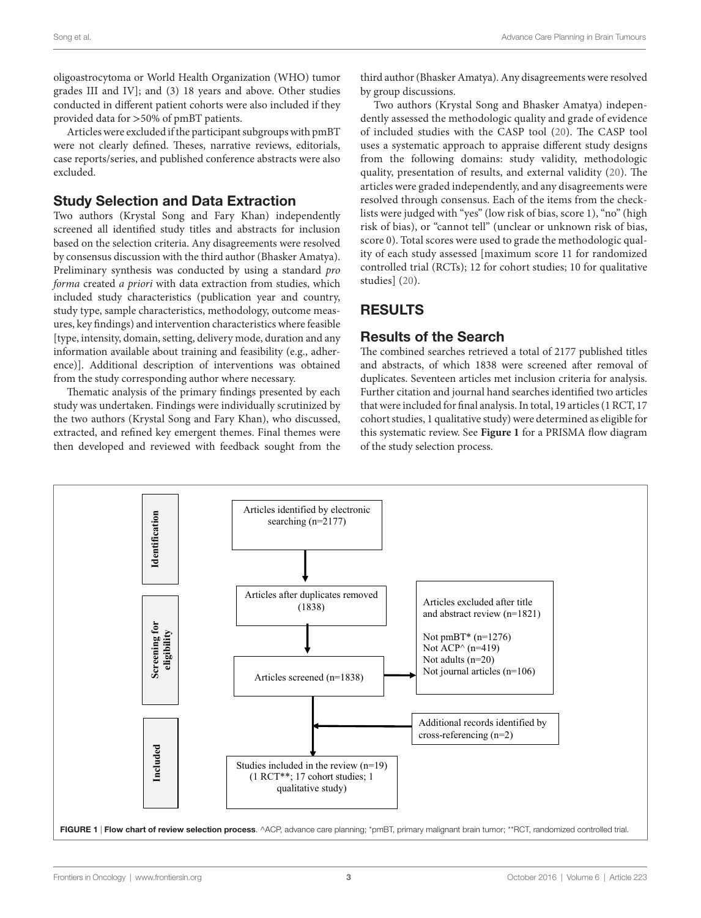oligoastrocytoma or World Health Organization (WHO) tumor grades III and IV]; and (3) 18 years and above. Other studies conducted in different patient cohorts were also included if they provided data for >50% of pmBT patients.

Articles were excluded if the participant subgroups with pmBT were not clearly defined. Theses, narrative reviews, editorials, case reports/series, and published conference abstracts were also excluded.

## Study Selection and Data Extraction

Two authors (Krystal Song and Fary Khan) independently screened all identified study titles and abstracts for inclusion based on the selection criteria. Any disagreements were resolved by consensus discussion with the third author (Bhasker Amatya). Preliminary synthesis was conducted by using a standard *pro forma* created *a priori* with data extraction from studies, which included study characteristics (publication year and country, study type, sample characteristics, methodology, outcome measures, key findings) and intervention characteristics where feasible [type, intensity, domain, setting, delivery mode, duration and any information available about training and feasibility (e.g., adherence)]. Additional description of interventions was obtained from the study corresponding author where necessary.

Thematic analysis of the primary findings presented by each study was undertaken. Findings were individually scrutinized by the two authors (Krystal Song and Fary Khan), who discussed, extracted, and refined key emergent themes. Final themes were then developed and reviewed with feedback sought from the

third author (Bhasker Amatya). Any disagreements were resolved by group discussions.

Two authors (Krystal Song and Bhasker Amatya) independently assessed the methodologic quality and grade of evidence of included studies with the CASP tool (20). The CASP tool uses a systematic approach to appraise different study designs from the following domains: study validity, methodologic quality, presentation of results, and external validity (20). The articles were graded independently, and any disagreements were resolved through consensus. Each of the items from the checklists were judged with "yes" (low risk of bias, score 1), "no" (high risk of bias), or "cannot tell" (unclear or unknown risk of bias, score 0). Total scores were used to grade the methodologic quality of each study assessed [maximum score 11 for randomized controlled trial (RCTs); 12 for cohort studies; 10 for qualitative studies] (20).

## RESULTS

## Results of the Search

The combined searches retrieved a total of 2177 published titles and abstracts, of which 1838 were screened after removal of duplicates. Seventeen articles met inclusion criteria for analysis. Further citation and journal hand searches identified two articles that were included for final analysis. In total, 19 articles (1 RCT, 17 cohort studies, 1 qualitative study) were determined as eligible for this systematic review. See **[Figure 1](#page-2-0)** for a PRISMA flow diagram of the study selection process.

<span id="page-2-0"></span>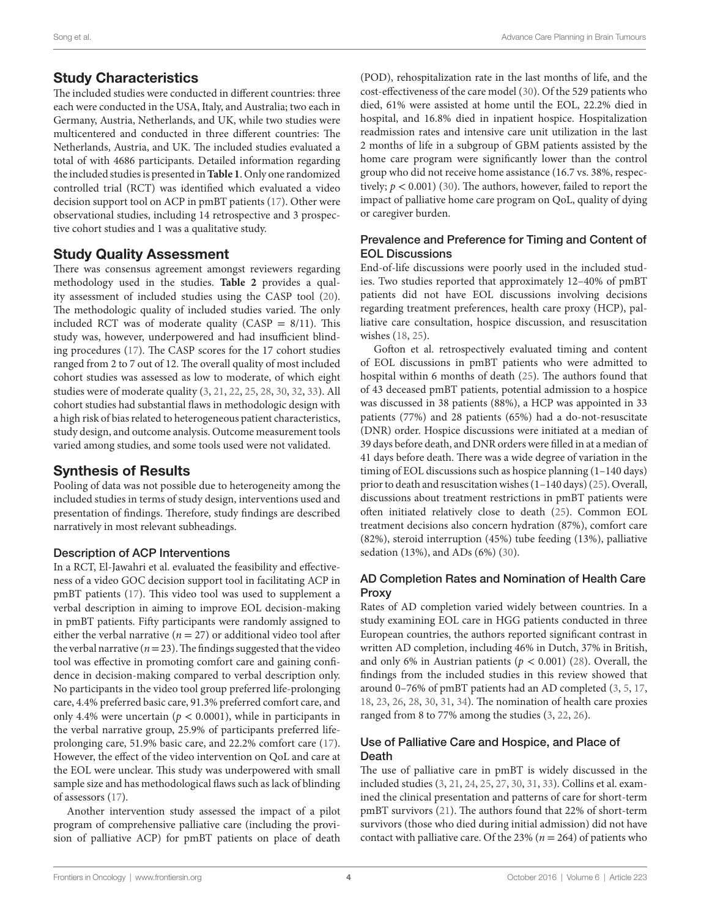## Study Characteristics

The included studies were conducted in different countries: three each were conducted in the USA, Italy, and Australia; two each in Germany, Austria, Netherlands, and UK, while two studies were multicentered and conducted in three different countries: The Netherlands, Austria, and UK. The included studies evaluated a total of with 4686 participants. Detailed information regarding the included studies is presented in **[Table 1](#page-4-0)**. Only one randomized controlled trial (RCT) was identified which evaluated a video decision support tool on ACP in pmBT patients [\(17](#page-12-16)). Other were observational studies, including 14 retrospective and 3 prospective cohort studies and 1 was a qualitative study.

## Study Quality Assessment

There was consensus agreement amongst reviewers regarding methodology used in the studies. **[Table 2](#page-9-0)** provides a quality assessment of included studies using the CASP tool (20). The methodologic quality of included studies varied. The only included RCT was of moderate quality (CASP  $= 8/11$ ). This study was, however, underpowered and had insufficient blinding procedures ([17\)](#page-12-16). The CASP scores for the 17 cohort studies ranged from 2 to 7 out of 12. The overall quality of most included cohort studies was assessed as low to moderate, of which eight studies were of moderate quality ([3](#page-12-2), [21,](#page-12-19) [22,](#page-12-20) [25](#page-12-21), [28](#page-12-22), [30,](#page-13-0) [32,](#page-13-1) [33](#page-13-2)). All cohort studies had substantial flaws in methodologic design with a high risk of bias related to heterogeneous patient characteristics, study design, and outcome analysis. Outcome measurement tools varied among studies, and some tools used were not validated.

## Synthesis of Results

Pooling of data was not possible due to heterogeneity among the included studies in terms of study design, interventions used and presentation of findings. Therefore, study findings are described narratively in most relevant subheadings.

### Description of ACP Interventions

In a RCT, El-Jawahri et al. evaluated the feasibility and effectiveness of a video GOC decision support tool in facilitating ACP in pmBT patients ([17](#page-12-16)). This video tool was used to supplement a verbal description in aiming to improve EOL decision-making in pmBT patients. Fifty participants were randomly assigned to either the verbal narrative ( $n = 27$ ) or additional video tool after the verbal narrative ( $n = 23$ ). The findings suggested that the video tool was effective in promoting comfort care and gaining confidence in decision-making compared to verbal description only. No participants in the video tool group preferred life-prolonging care, 4.4% preferred basic care, 91.3% preferred comfort care, and only 4.4% were uncertain ( $p < 0.0001$ ), while in participants in the verbal narrative group, 25.9% of participants preferred lifeprolonging care, 51.9% basic care, and 22.2% comfort care ([17\)](#page-12-16). However, the effect of the video intervention on QoL and care at the EOL were unclear. This study was underpowered with small sample size and has methodological flaws such as lack of blinding of assessors [\(17](#page-12-16)).

Another intervention study assessed the impact of a pilot program of comprehensive palliative care (including the provision of palliative ACP) for pmBT patients on place of death (POD), rehospitalization rate in the last months of life, and the cost-effectiveness of the care model ([30](#page-13-0)). Of the 529 patients who died, 61% were assisted at home until the EOL, 22.2% died in hospital, and 16.8% died in inpatient hospice. Hospitalization readmission rates and intensive care unit utilization in the last 2 months of life in a subgroup of GBM patients assisted by the home care program were significantly lower than the control group who did not receive home assistance (16.7 vs. 38%, respectively;  $p < 0.001$ ) [\(30](#page-13-0)). The authors, however, failed to report the impact of palliative home care program on QoL, quality of dying or caregiver burden.

#### Prevalence and Preference for Timing and Content of EOL Discussions

End-of-life discussions were poorly used in the included studies. Two studies reported that approximately 12–40% of pmBT patients did not have EOL discussions involving decisions regarding treatment preferences, health care proxy (HCP), palliative care consultation, hospice discussion, and resuscitation wishes ([18,](#page-12-17) [25](#page-12-21)).

Gofton et al. retrospectively evaluated timing and content of EOL discussions in pmBT patients who were admitted to hospital within 6 months of death ([25\)](#page-12-21). The authors found that of 43 deceased pmBT patients, potential admission to a hospice was discussed in 38 patients (88%), a HCP was appointed in 33 patients (77%) and 28 patients (65%) had a do-not-resuscitate (DNR) order. Hospice discussions were initiated at a median of 39 days before death, and DNR orders were filled in at a median of 41 days before death. There was a wide degree of variation in the timing of EOL discussions such as hospice planning (1–140 days) prior to death and resuscitation wishes (1–140 days) ([25\)](#page-12-21). Overall, discussions about treatment restrictions in pmBT patients were often initiated relatively close to death [\(25\)](#page-12-21). Common EOL treatment decisions also concern hydration (87%), comfort care (82%), steroid interruption (45%) tube feeding (13%), palliative sedation (13%), and ADs (6%) ([30](#page-13-0)).

### AD Completion Rates and Nomination of Health Care Proxy

Rates of AD completion varied widely between countries. In a study examining EOL care in HGG patients conducted in three European countries, the authors reported significant contrast in written AD completion, including 46% in Dutch, 37% in British, and only 6% in Austrian patients ( $p < 0.001$ ) [\(28](#page-12-22)). Overall, the findings from the included studies in this review showed that around 0–76% of pmBT patients had an AD completed ([3](#page-12-2), [5](#page-12-4), [17,](#page-12-16) [18](#page-12-17), [23,](#page-12-23) [26,](#page-12-24) [28](#page-12-22), [30,](#page-13-0) [31](#page-13-3), [34](#page-13-4)). The nomination of health care proxies ranged from 8 to 77% among the studies ([3](#page-12-2), [22,](#page-12-20) [26](#page-12-24)).

#### Use of Palliative Care and Hospice, and Place of Death

The use of palliative care in pmBT is widely discussed in the included studies ([3](#page-12-2), [21,](#page-12-19) [24,](#page-12-25) [25](#page-12-21), [27](#page-12-26), [30,](#page-13-0) [31,](#page-13-3) [33](#page-13-2)). Collins et al. examined the clinical presentation and patterns of care for short-term pmBT survivors [\(21](#page-12-19)). The authors found that 22% of short-term survivors (those who died during initial admission) did not have contact with palliative care. Of the  $23\%$  ( $n = 264$ ) of patients who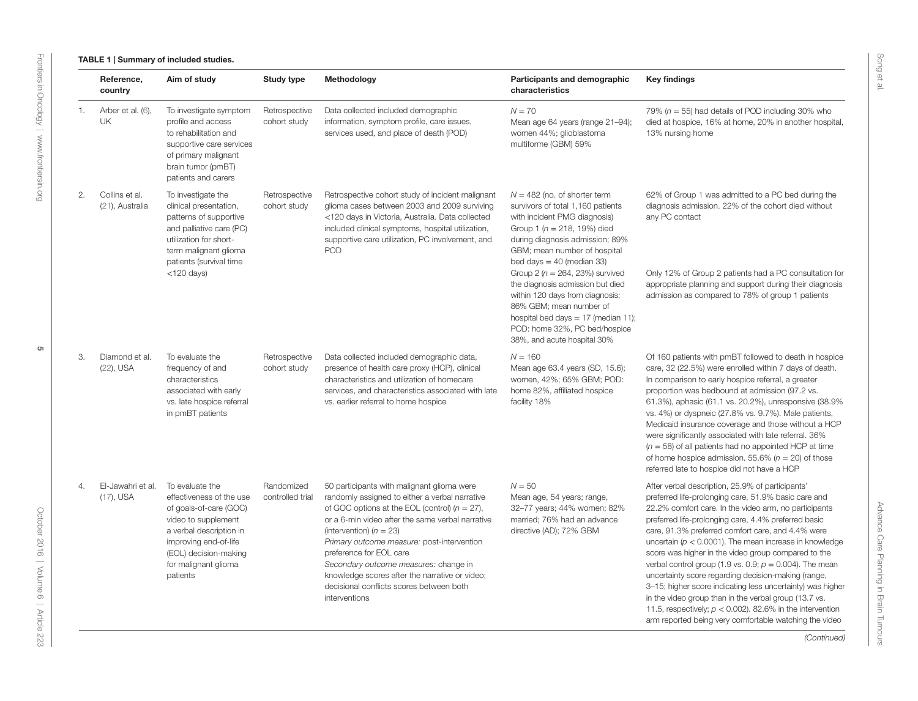#### TABLE 1 | Summary of included studies.

<span id="page-4-0"></span>

|    | Reference,<br>country             | Aim of study                                                                                                                                                                                                  | <b>Study type</b>              | Methodology                                                                                                                                                                                                                                                                                                                                                                                                                                                        | Participants and demographic<br>characteristics                                                                                                                                                                                                                                                                                                                                                                                                                                            | <b>Key findings</b>                                                                                                                                                                                                                                                                                                                                                                                                                                                                                                                                                                                                                                                                                             |
|----|-----------------------------------|---------------------------------------------------------------------------------------------------------------------------------------------------------------------------------------------------------------|--------------------------------|--------------------------------------------------------------------------------------------------------------------------------------------------------------------------------------------------------------------------------------------------------------------------------------------------------------------------------------------------------------------------------------------------------------------------------------------------------------------|--------------------------------------------------------------------------------------------------------------------------------------------------------------------------------------------------------------------------------------------------------------------------------------------------------------------------------------------------------------------------------------------------------------------------------------------------------------------------------------------|-----------------------------------------------------------------------------------------------------------------------------------------------------------------------------------------------------------------------------------------------------------------------------------------------------------------------------------------------------------------------------------------------------------------------------------------------------------------------------------------------------------------------------------------------------------------------------------------------------------------------------------------------------------------------------------------------------------------|
| 1. | Arber et al. (6),<br>UK           | To investigate symptom<br>profile and access<br>to rehabilitation and<br>supportive care services<br>of primary malignant<br>brain tumor (pmBT)<br>patients and carers                                        | Retrospective<br>cohort study  | Data collected included demographic<br>information, symptom profile, care issues,<br>services used, and place of death (POD)                                                                                                                                                                                                                                                                                                                                       | $N = 70$<br>Mean age 64 years (range 21-94);<br>women 44%; glioblastoma<br>multiforme (GBM) 59%                                                                                                                                                                                                                                                                                                                                                                                            | 79% ( $n = 55$ ) had details of POD including 30% who<br>died at hospice, 16% at home, 20% in another hospital,<br>13% nursing home                                                                                                                                                                                                                                                                                                                                                                                                                                                                                                                                                                             |
| 2. | Collins et al.<br>(21), Australia | To investigate the<br>clinical presentation,<br>patterns of supportive<br>and palliative care (PC)<br>utilization for short-<br>term malignant glioma<br>patients (survival time<br>$<$ 120 days)             | Retrospective<br>cohort study  | Retrospective cohort study of incident malignant<br>glioma cases between 2003 and 2009 surviving<br><120 days in Victoria, Australia. Data collected<br>included clinical symptoms, hospital utilization,<br>supportive care utilization, PC involvement, and<br><b>POD</b>                                                                                                                                                                                        | $N = 482$ (no. of shorter term<br>survivors of total 1,160 patients<br>with incident PMG diagnosis)<br>Group 1 ( $n = 218$ , 19%) died<br>during diagnosis admission; 89%<br>GBM; mean number of hospital<br>bed days = $40$ (median 33)<br>Group 2 ( $n = 264$ , 23%) survived<br>the diagnosis admission but died<br>within 120 days from diagnosis;<br>86% GBM; mean number of<br>hospital bed days = $17$ (median 11);<br>POD: home 32%, PC bed/hospice<br>38%, and acute hospital 30% | 62% of Group 1 was admitted to a PC bed during the<br>diagnosis admission. 22% of the cohort died without<br>any PC contact<br>Only 12% of Group 2 patients had a PC consultation for<br>appropriate planning and support during their diagnosis<br>admission as compared to 78% of group 1 patients                                                                                                                                                                                                                                                                                                                                                                                                            |
| 3. | Diamond et al.<br>(22), USA       | To evaluate the<br>frequency of and<br>characteristics<br>associated with early<br>vs. late hospice referral<br>in pmBT patients                                                                              | Retrospective<br>cohort study  | Data collected included demographic data,<br>presence of health care proxy (HCP), clinical<br>characteristics and utilization of homecare<br>services, and characteristics associated with late<br>vs. earlier referral to home hospice                                                                                                                                                                                                                            | $N = 160$<br>Mean age 63.4 years (SD, 15.6);<br>women, 42%; 65% GBM; POD:<br>home 82%, affiliated hospice<br>facility 18%                                                                                                                                                                                                                                                                                                                                                                  | Of 160 patients with pmBT followed to death in hospice<br>care, 32 (22.5%) were enrolled within 7 days of death.<br>In comparison to early hospice referral, a greater<br>proportion was bedbound at admission (97.2 vs.<br>61.3%), aphasic (61.1 vs. 20.2%), unresponsive (38.9%<br>vs. 4%) or dyspneic (27.8% vs. 9.7%). Male patients,<br>Medicaid insurance coverage and those without a HCP<br>were significantly associated with late referral. 36%<br>$(n = 58)$ of all patients had no appointed HCP at time<br>of home hospice admission. 55.6% ( $n = 20$ ) of those<br>referred late to hospice did not have a HCP                                                                                   |
| 4. | El-Jawahri et al.<br>$(17)$ , USA | To evaluate the<br>effectiveness of the use<br>of goals-of-care (GOC)<br>video to supplement<br>a verbal description in<br>improving end-of-life<br>(EOL) decision-making<br>for malignant glioma<br>patients | Randomized<br>controlled trial | 50 participants with malignant glioma were<br>randomly assigned to either a verbal narrative<br>of GOC options at the EOL (control) $(n = 27)$ ,<br>or a 6-min video after the same verbal narrative<br>(intervention) $(n = 23)$<br>Primary outcome measure: post-intervention<br>preference for EOL care<br>Secondary outcome measures: change in<br>knowledge scores after the narrative or video;<br>decisional conflicts scores between both<br>interventions | $N = 50$<br>Mean age, 54 years; range,<br>32-77 years; 44% women; 82%<br>married; 76% had an advance<br>directive (AD); 72% GBM                                                                                                                                                                                                                                                                                                                                                            | After verbal description, 25.9% of participants'<br>preferred life-prolonging care, 51.9% basic care and<br>22.2% comfort care. In the video arm, no participants<br>preferred life-prolonging care, 4.4% preferred basic<br>care, 91.3% preferred comfort care, and 4.4% were<br>uncertain ( $p < 0.0001$ ). The mean increase in knowledge<br>score was higher in the video group compared to the<br>verbal control group (1.9 vs. 0.9; $p = 0.004$ ). The mean<br>uncertainty score regarding decision-making (range,<br>3-15; higher score indicating less uncertainty) was higher<br>in the video group than in the verbal group (13.7 vs.<br>11.5, respectively: $p < 0.002$ ), 82.6% in the intervention |

Advance Care Planning in Brain Tumours

Advance Care Planning in Brain Tumours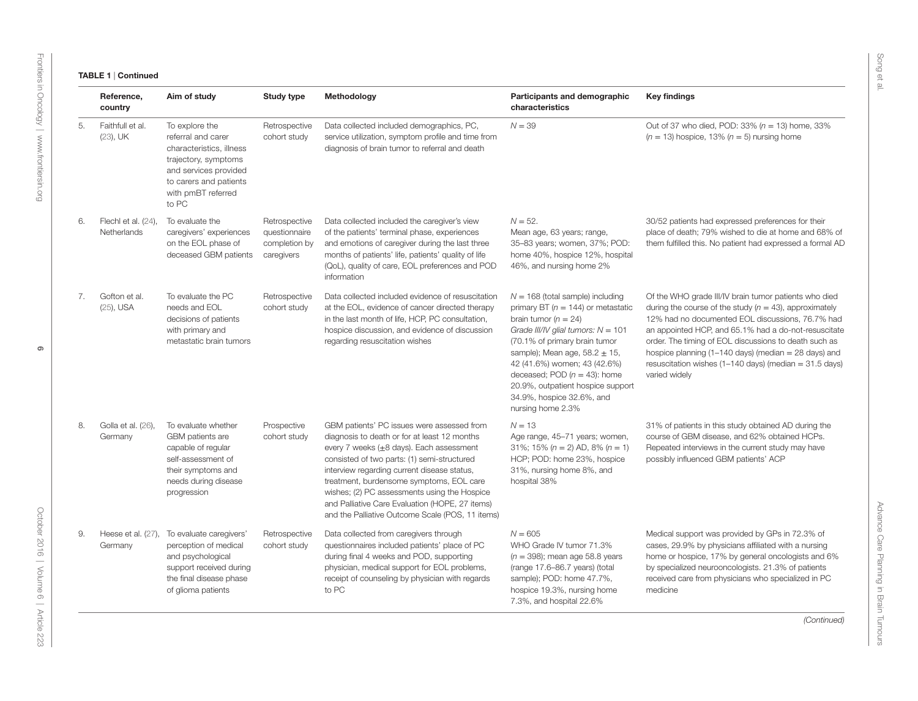#### TABLE 1 | Continued

|    | Reference,<br>country                                                                                                                                                             | Aim of study                                                                                                                                                               | <b>Study type</b>                                             | Methodology                                                                                                                                                                                                                                                                                                                                                                                                                                           | Participants and demographic<br>characteristics                                                                                                                                                                                                                                                                                                                                   | <b>Key findings</b>                                                                                                                                                                                                                                                                                                                                                                                                                     |
|----|-----------------------------------------------------------------------------------------------------------------------------------------------------------------------------------|----------------------------------------------------------------------------------------------------------------------------------------------------------------------------|---------------------------------------------------------------|-------------------------------------------------------------------------------------------------------------------------------------------------------------------------------------------------------------------------------------------------------------------------------------------------------------------------------------------------------------------------------------------------------------------------------------------------------|-----------------------------------------------------------------------------------------------------------------------------------------------------------------------------------------------------------------------------------------------------------------------------------------------------------------------------------------------------------------------------------|-----------------------------------------------------------------------------------------------------------------------------------------------------------------------------------------------------------------------------------------------------------------------------------------------------------------------------------------------------------------------------------------------------------------------------------------|
| 5. | Faithfull et al.<br>$(23)$ , UK                                                                                                                                                   | To explore the<br>referral and carer<br>characteristics, illness<br>trajectory, symptoms<br>and services provided<br>to carers and patients<br>with pmBT referred<br>to PC | Retrospective<br>cohort study                                 | Data collected included demographics, PC,<br>service utilization, symptom profile and time from<br>diagnosis of brain tumor to referral and death                                                                                                                                                                                                                                                                                                     | $N = 39$                                                                                                                                                                                                                                                                                                                                                                          | Out of 37 who died, POD: 33% ( $n = 13$ ) home, 33%<br>$(n = 13)$ hospice, 13% $(n = 5)$ nursing home                                                                                                                                                                                                                                                                                                                                   |
| 6. | Flechl et al. (24),<br>Netherlands                                                                                                                                                | To evaluate the<br>caregivers' experiences<br>on the EOL phase of<br>deceased GBM patients                                                                                 | Retrospective<br>questionnaire<br>completion by<br>caregivers | Data collected included the caregiver's view<br>of the patients' terminal phase, experiences<br>and emotions of caregiver during the last three<br>months of patients' life, patients' quality of life<br>(QoL), quality of care, EOL preferences and POD<br>information                                                                                                                                                                              | $N = 52.$<br>Mean age, 63 years; range,<br>35-83 years; women, 37%; POD:<br>home 40%, hospice 12%, hospital<br>46%, and nursing home 2%                                                                                                                                                                                                                                           | 30/52 patients had expressed preferences for their<br>place of death; 79% wished to die at home and 68% of<br>them fulfilled this. No patient had expressed a formal AD                                                                                                                                                                                                                                                                 |
| 7. | Gofton et al.<br>(25), USA                                                                                                                                                        | To evaluate the PC<br>needs and EOL<br>decisions of patients<br>with primary and<br>metastatic brain tumors                                                                | Retrospective<br>cohort study                                 | Data collected included evidence of resuscitation<br>at the EOL, evidence of cancer directed therapy<br>in the last month of life, HCP, PC consultation,<br>hospice discussion, and evidence of discussion<br>regarding resuscitation wishes                                                                                                                                                                                                          | $N = 168$ (total sample) including<br>primary BT ( $n = 144$ ) or metastatic<br>brain tumor ( $n = 24$ )<br>Grade III/IV glial tumors: $N = 101$<br>(70.1% of primary brain tumor<br>sample); Mean age, $58.2 \pm 15$ ,<br>42 (41.6%) women; 43 (42.6%)<br>deceased; POD $(n = 43)$ : home<br>20.9%, outpatient hospice support<br>34.9%, hospice 32.6%, and<br>nursing home 2.3% | Of the WHO grade III/IV brain tumor patients who died<br>during the course of the study ( $n = 43$ ), approximately<br>12% had no documented EOL discussions, 76.7% had<br>an appointed HCP, and 65.1% had a do-not-resuscitate<br>order. The timing of EOL discussions to death such as<br>hospice planning (1-140 days) (median $=$ 28 days) and<br>resuscitation wishes $(1-140 \text{ days})$ (median = 31.5 days)<br>varied widely |
| 8. | Golla et al. (26),<br>To evaluate whether<br>Germany<br>GBM patients are<br>capable of regular<br>self-assessment of<br>their symptoms and<br>needs during disease<br>progression |                                                                                                                                                                            | Prospective<br>cohort study                                   | GBM patients' PC issues were assessed from<br>diagnosis to death or for at least 12 months<br>every 7 weeks $(\pm 8 \text{ days})$ . Each assessment<br>consisted of two parts: (1) semi-structured<br>interview regarding current disease status,<br>treatment, burdensome symptoms, EOL care<br>wishes; (2) PC assessments using the Hospice<br>and Palliative Care Evaluation (HOPE, 27 items)<br>and the Palliative Outcome Scale (POS, 11 items) | $N = 13$<br>Age range, 45-71 years; women,<br>31%; 15% $(n = 2)$ AD, 8% $(n = 1)$<br>HCP; POD: home 23%, hospice<br>31%, nursing home 8%, and<br>hospital 38%                                                                                                                                                                                                                     | 31% of patients in this study obtained AD during the<br>course of GBM disease, and 62% obtained HCPs.<br>Repeated interviews in the current study may have<br>possibly influenced GBM patients' ACP                                                                                                                                                                                                                                     |
| 9. | Heese et al. (27),<br>Germany                                                                                                                                                     | To evaluate caregivers'<br>perception of medical<br>and psychological<br>support received during<br>the final disease phase<br>of glioma patients                          | Retrospective<br>cohort study                                 | Data collected from caregivers through<br>questionnaires included patients' place of PC<br>during final 4 weeks and POD, supporting<br>physician, medical support for EOL problems,<br>receipt of counseling by physician with regards<br>to PC                                                                                                                                                                                                       | $N = 605$<br>WHO Grade IV tumor 71.3%<br>$(n = 398)$ ; mean age 58.8 years<br>(range 17.6-86.7 years) (total<br>sample); POD: home 47.7%,<br>hospice 19.3%, nursing home<br>7.3%, and hospital 22.6%                                                                                                                                                                              | Medical support was provided by GPs in 72.3% of<br>cases, 29.9% by physicians affiliated with a nursing<br>home or hospice, 17% by general oncologists and 6%<br>by specialized neurooncologists. 21.3% of patients<br>received care from physicians who specialized in PC<br>medicine                                                                                                                                                  |

*(Continued)*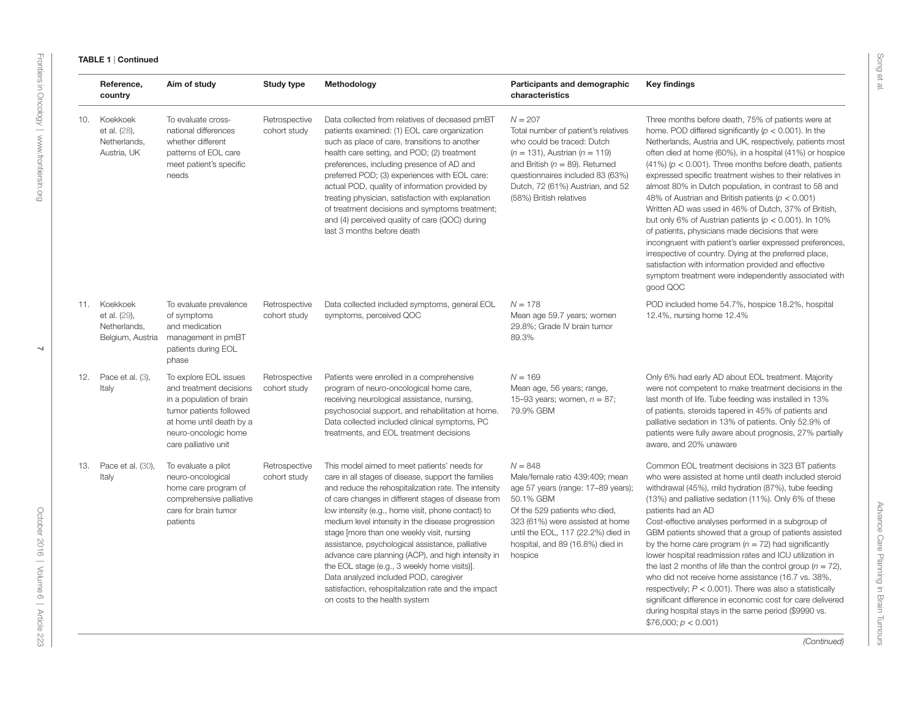#### TABLE 1 | Continued

|     | Reference,<br>country                                            | Aim of study                                                                                                                                                                                                                                  | <b>Study type</b>             | Methodology                                                                                                                                                                                                                                                                                                                                                                                                                                                                                                                                                                                                                                                            | Participants and demographic<br>characteristics                                                                                                                                                                                                               | <b>Key findings</b>                                                                                                                                                                                                                                                                                                                                                                                                                                                                                                                                                                                                                                                                                                                                                                                                                                                                                              |
|-----|------------------------------------------------------------------|-----------------------------------------------------------------------------------------------------------------------------------------------------------------------------------------------------------------------------------------------|-------------------------------|------------------------------------------------------------------------------------------------------------------------------------------------------------------------------------------------------------------------------------------------------------------------------------------------------------------------------------------------------------------------------------------------------------------------------------------------------------------------------------------------------------------------------------------------------------------------------------------------------------------------------------------------------------------------|---------------------------------------------------------------------------------------------------------------------------------------------------------------------------------------------------------------------------------------------------------------|------------------------------------------------------------------------------------------------------------------------------------------------------------------------------------------------------------------------------------------------------------------------------------------------------------------------------------------------------------------------------------------------------------------------------------------------------------------------------------------------------------------------------------------------------------------------------------------------------------------------------------------------------------------------------------------------------------------------------------------------------------------------------------------------------------------------------------------------------------------------------------------------------------------|
| 10. | Koekkoek<br>et al. (28),<br>Netherlands,<br>Austria, UK          | To evaluate cross-<br>Retrospective<br>national differences<br>cohort study<br>whether different<br>patterns of EOL care<br>meet patient's specific<br>needs<br>To evaluate prevalence<br>of symptoms<br>and medication<br>management in pmBT |                               | Data collected from relatives of deceased pmBT<br>patients examined: (1) EOL care organization<br>such as place of care, transitions to another<br>health care setting, and POD; (2) treatment<br>preferences, including presence of AD and<br>preferred POD; (3) experiences with EOL care:<br>actual POD, quality of information provided by<br>treating physician, satisfaction with explanation<br>of treatment decisions and symptoms treatment;<br>and (4) perceived quality of care (QOC) during<br>last 3 months before death                                                                                                                                  | $N = 207$<br>Total number of patient's relatives<br>who could be traced: Dutch<br>$(n = 131)$ , Austrian $(n = 119)$<br>and British ( $n = 89$ ). Returned<br>questionnaires included 83 (63%)<br>Dutch, 72 (61%) Austrian, and 52<br>(58%) British relatives | Three months before death, 75% of patients were at<br>home. POD differed significantly ( $p < 0.001$ ). In the<br>Netherlands, Austria and UK, respectively, patients most<br>often died at home (60%), in a hospital (41%) or hospice<br>$(41\%)$ ( $p < 0.001$ ). Three months before death, patients<br>expressed specific treatment wishes to their relatives in<br>almost 80% in Dutch population, in contrast to 58 and<br>48% of Austrian and British patients ( $p < 0.001$ )<br>Written AD was used in 46% of Dutch, 37% of British,<br>but only 6% of Austrian patients ( $p < 0.001$ ). In 10%<br>of patients, physicians made decisions that were<br>incongruent with patient's earlier expressed preferences,<br>irrespective of country. Dying at the preferred place,<br>satisfaction with information provided and effective<br>symptom treatment were independently associated with<br>good QOC |
|     | 11. Koekkoek<br>et al. (29),<br>Netherlands,<br>Belgium, Austria | patients during EOL<br>phase                                                                                                                                                                                                                  | Retrospective<br>cohort study | Data collected included symptoms, general EOL<br>symptoms, perceived QOC                                                                                                                                                                                                                                                                                                                                                                                                                                                                                                                                                                                               | $N = 178$<br>Mean age 59.7 years; women<br>29.8%; Grade IV brain tumor<br>89.3%                                                                                                                                                                               | POD included home 54.7%, hospice 18.2%, hospital<br>12.4%, nursing home 12.4%                                                                                                                                                                                                                                                                                                                                                                                                                                                                                                                                                                                                                                                                                                                                                                                                                                    |
|     | 12. Pace et al. (3),<br>Italy                                    | To explore EOL issues<br>and treatment decisions<br>in a population of brain<br>tumor patients followed<br>at home until death by a<br>neuro-oncologic home<br>care palliative unit                                                           | Retrospective<br>cohort study | Patients were enrolled in a comprehensive<br>program of neuro-oncological home care,<br>receiving neurological assistance, nursing,<br>psychosocial support, and rehabilitation at home.<br>Data collected included clinical symptoms, PC<br>treatments, and EOL treatment decisions                                                                                                                                                                                                                                                                                                                                                                                   | $N = 169$<br>Mean age, 56 years; range,<br>15-93 years; women, $n = 87$ ;<br>79.9% GBM                                                                                                                                                                        | Only 6% had early AD about EOL treatment. Majority<br>were not competent to make treatment decisions in the<br>last month of life. Tube feeding was installed in 13%<br>of patients, steroids tapered in 45% of patients and<br>palliative sedation in 13% of patients. Only 52.9% of<br>patients were fully aware about prognosis, 27% partially<br>aware, and 20% unaware                                                                                                                                                                                                                                                                                                                                                                                                                                                                                                                                      |
| 13. | Pace et al. (30),<br>Italy                                       | To evaluate a pilot<br>neuro-oncological<br>home care program of<br>comprehensive palliative<br>care for brain tumor<br>patients                                                                                                              | Retrospective<br>cohort study | This model aimed to meet patients' needs for<br>care in all stages of disease, support the families<br>and reduce the rehospitalization rate. The intensity<br>of care changes in different stages of disease from<br>low intensity (e.g., home visit, phone contact) to<br>medium level intensity in the disease progression<br>stage [more than one weekly visit, nursing<br>assistance, psychological assistance, palliative<br>advance care planning (ACP), and high intensity in<br>the EOL stage (e.g., 3 weekly home visits)].<br>Data analyzed included POD, caregiver<br>satisfaction, rehospitalization rate and the impact<br>on costs to the health system | $N = 848$<br>Male/female ratio 439:409; mean<br>age 57 years (range: 17-89 years);<br>50.1% GBM<br>Of the 529 patients who died,<br>323 (61%) were assisted at home<br>until the EOL, 117 (22.2%) died in<br>hospital, and 89 (16.8%) died in<br>hospice      | Common EOL treatment decisions in 323 BT patients<br>who were assisted at home until death included steroid<br>withdrawal (45%), mild hydration (87%), tube feeding<br>(13%) and palliative sedation (11%). Only 6% of these<br>patients had an AD<br>Cost-effective analyses performed in a subgroup of<br>GBM patients showed that a group of patients assisted<br>by the home care program ( $n = 72$ ) had significantly<br>lower hospital readmission rates and ICU utilization in<br>the last 2 months of life than the control group ( $n = 72$ ),<br>who did not receive home assistance (16.7 vs. 38%,<br>respectively; $P < 0.001$ ). There was also a statistically<br>significant difference in economic cost for care delivered<br>during hospital stays in the same period (\$9990 vs.<br>\$76,000; p < 0.001                                                                                      |

*(Continued)*

Advance Care Planning in Brain Tumours

Advance Care Planning in Brain Tumours

Song et al.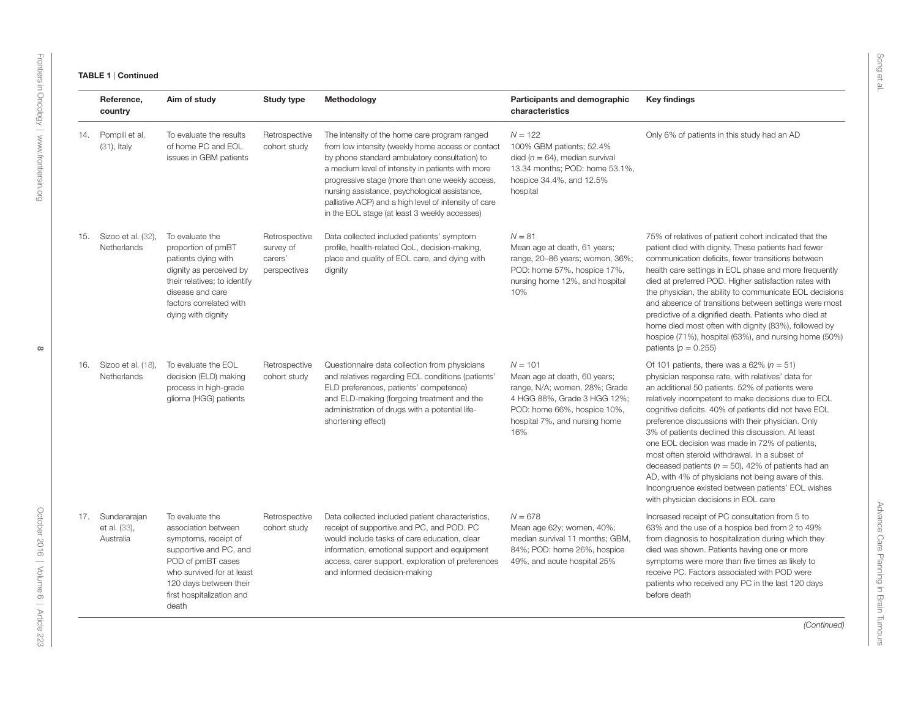|     | Reference,<br>country                         | Aim of study                                                                                                                                                                                               | <b>Study type</b>                                     | Methodology                                                                                                                                                                                                                                                                                                                                                                                                            | Participants and demographic<br>characteristics                                                                                                                                  | <b>Key findings</b>                                                                                                                                                                                                                                                                                                                                                                                                                                                                                                                                                                                                                                                                           |
|-----|-----------------------------------------------|------------------------------------------------------------------------------------------------------------------------------------------------------------------------------------------------------------|-------------------------------------------------------|------------------------------------------------------------------------------------------------------------------------------------------------------------------------------------------------------------------------------------------------------------------------------------------------------------------------------------------------------------------------------------------------------------------------|----------------------------------------------------------------------------------------------------------------------------------------------------------------------------------|-----------------------------------------------------------------------------------------------------------------------------------------------------------------------------------------------------------------------------------------------------------------------------------------------------------------------------------------------------------------------------------------------------------------------------------------------------------------------------------------------------------------------------------------------------------------------------------------------------------------------------------------------------------------------------------------------|
| 14. | Pompili et al.<br>$(31)$ , Italy              | To evaluate the results<br>of home PC and EOL<br>issues in GBM patients                                                                                                                                    | Retrospective<br>cohort study                         | The intensity of the home care program ranged<br>from low intensity (weekly home access or contact<br>by phone standard ambulatory consultation) to<br>a medium level of intensity in patients with more<br>progressive stage (more than one weekly access,<br>nursing assistance, psychological assistance,<br>palliative ACP) and a high level of intensity of care<br>in the EOL stage (at least 3 weekly accesses) | $N = 122$<br>100% GBM patients; 52.4%<br>died ( $n = 64$ ), median survival<br>13.34 months; POD: home 53.1%,<br>hospice 34.4%, and 12.5%<br>hospital                            | Only 6% of patients in this study had an AD                                                                                                                                                                                                                                                                                                                                                                                                                                                                                                                                                                                                                                                   |
| 15. | Sizoo et al. (32),<br>Netherlands             | To evaluate the<br>proportion of pmBT<br>patients dying with<br>dignity as perceived by<br>their relatives; to identify<br>disease and care<br>factors correlated with<br>dying with dignity               | Retrospective<br>survey of<br>carers'<br>perspectives | Data collected included patients' symptom<br>profile, health-related QoL, decision-making,<br>place and quality of EOL care, and dying with<br>dignity                                                                                                                                                                                                                                                                 | $N = 81$<br>Mean age at death, 61 years;<br>range, 20-86 years; women, 36%;<br>POD: home 57%, hospice 17%,<br>nursing home 12%, and hospital<br>10%                              | 75% of relatives of patient cohort indicated that the<br>patient died with dignity. These patients had fewer<br>communication deficits, fewer transitions between<br>health care settings in EOL phase and more frequently<br>died at preferred POD. Higher satisfaction rates with<br>the physician, the ability to communicate EOL decisions<br>and absence of transitions between settings were most<br>predictive of a dignified death. Patients who died at<br>home died most often with dignity (83%), followed by<br>hospice (71%), hospital (63%), and nursing home (50%)<br>patients ( $p = 0.255$ )                                                                                 |
| 16. | Sizoo et al. (18),<br>Netherlands             | To evaluate the EOL<br>decision (ELD) making<br>process in high-grade<br>glioma (HGG) patients                                                                                                             | Retrospective<br>cohort study                         | Questionnaire data collection from physicians<br>and relatives regarding EOL conditions (patients'<br>ELD preferences, patients' competence)<br>and ELD-making (forgoing treatment and the<br>administration of drugs with a potential life-<br>shortening effect)                                                                                                                                                     | $N = 101$<br>Mean age at death, 60 years;<br>range, N/A; women, 28%; Grade<br>4 HGG 88%, Grade 3 HGG 12%;<br>POD: home 66%, hospice 10%,<br>hospital 7%, and nursing home<br>16% | Of 101 patients, there was a 62% ( $n = 51$ )<br>physician response rate, with relatives' data for<br>an additional 50 patients. 52% of patients were<br>relatively incompetent to make decisions due to EOL<br>cognitive deficits. 40% of patients did not have EOL<br>preference discussions with their physician. Only<br>3% of patients declined this discussion. At least<br>one EOL decision was made in 72% of patients,<br>most often steroid withdrawal. In a subset of<br>deceased patients ( $n = 50$ ), 42% of patients had an<br>AD, with 4% of physicians not being aware of this.<br>Incongruence existed between patients' EOL wishes<br>with physician decisions in EOL care |
|     | 17. Sundararajan<br>et al. (33),<br>Australia | To evaluate the<br>association between<br>symptoms, receipt of<br>supportive and PC, and<br>POD of pmBT cases<br>who survived for at least<br>120 days between their<br>first hospitalization and<br>death | Retrospective<br>cohort study                         | Data collected included patient characteristics,<br>receipt of supportive and PC, and POD. PC<br>would include tasks of care education, clear<br>information, emotional support and equipment<br>access, carer support, exploration of preferences<br>and informed decision-making                                                                                                                                     | $N = 678$<br>Mean age 62y; women, 40%;<br>median survival 11 months; GBM,<br>84%; POD: home 26%, hospice<br>49%, and acute hospital 25%                                          | Increased receipt of PC consultation from 5 to<br>63% and the use of a hospice bed from 2 to 49%<br>from diagnosis to hospitalization during which they<br>died was shown. Patients having one or more<br>symptoms were more than five times as likely to<br>receive PC. Factors associated with POD were<br>patients who received any PC in the last 120 days<br>before death                                                                                                                                                                                                                                                                                                                |

*(Continued)*

Advance Care Planning in Brain Tumours

Advance Care Planning in Brain Tumours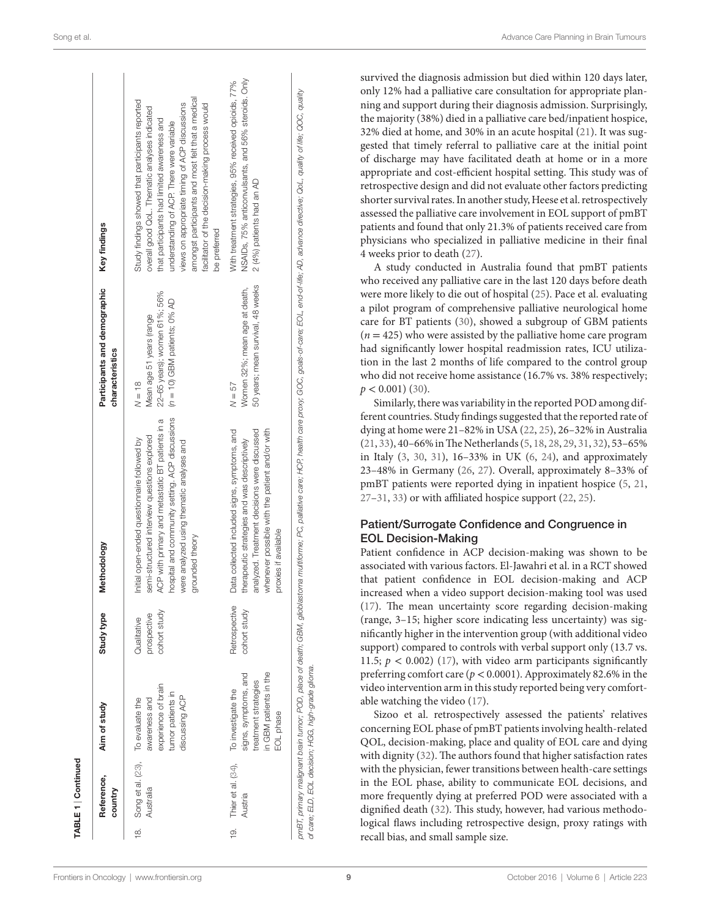| Reference, | Aim of study                                                                                   | Study type                                                     | Methodology                                                                                                                                                                                                            | Participants and demographic<br>characteristics                                | Key findings                                                                                                                                                                                                                                                                                                                                                             |
|------------|------------------------------------------------------------------------------------------------|----------------------------------------------------------------|------------------------------------------------------------------------------------------------------------------------------------------------------------------------------------------------------------------------|--------------------------------------------------------------------------------|--------------------------------------------------------------------------------------------------------------------------------------------------------------------------------------------------------------------------------------------------------------------------------------------------------------------------------------------------------------------------|
|            | experience of brain<br>tumor patients in<br>discussing ACP<br>To evaluate the<br>awareness and | cohort study<br>prospective<br>Qualitative                     | ACP with primary and metastatic BT patients in a<br>semi-structured interview questions explored<br>Initial open-ended questionnaire followed by<br>were analyzed using thematic analyses and<br>grounded theory       | 22-65 years); women 61%; 56%<br>Mean age 51 years (range<br>$N = 18$           | amongst participants and most felt that a medical<br>Study findings showed that participants reported<br>facilitator of the decision-making process would<br>views on appropriate timing of ACP discussions<br>overall good QoL. Thematic analyses indicated<br>that participants had limited awareness and<br>understanding of ACP. There were variable<br>be preferred |
|            | in GBM patients in the<br>signs, symptoms, and<br>treatment strategies<br>EOL phase            | Retrospective<br>cohort study                                  | Data collected included signs, symptoms, and<br>whenever possible with the patient and/or with<br>analyzed. Treatment decisions were discussed<br>therapeutic strategies and was descriptively<br>proxies if available | 50 years; mean survival, 48 weeks<br>Women 32%; mean age at death,<br>$N = 57$ | NSAIDs, 75% anticonvulsants, and 56% steroids. Only<br>With treatment strategies, 95% received opioids, 77%<br>2 (4%) patients had an AD                                                                                                                                                                                                                                 |
|            | Australia<br>country<br>Austria                                                                | 19. Thier et al. (34), To investigate the<br>Song et al. (23), |                                                                                                                                                                                                                        |                                                                                | hospital and community setting. ACP discussions (n = 10) GBM patients; 0% AD                                                                                                                                                                                                                                                                                             |

survived the diagnosis admission but died within 120 days later, only 12% had a palliative care consultation for appropriate planning and support during their diagnosis admission. Surprisingly, the majority (38%) died in a palliative care bed/inpatient hospice, 32% died at home, and 30% in an acute hospital ([21\)](#page-12-19). It was suggested that timely referral to palliative care at the initial point of discharge may have facilitated death at home or in a more appropriate and cost-efficient hospital setting. This study was of retrospective design and did not evaluate other factors predicting shorter survival rates. In another study, Heese et al. retrospectively assessed the palliative care involvement in EOL support of pmBT patients and found that only 21.3% of patients received care from physicians who specialized in palliative medicine in their final 4 weeks prior to death ([27\)](#page-12-26).

A study conducted in Australia found that pmBT patients who received any palliative care in the last 120 days before death were more likely to die out of hospital ([25\)](#page-12-21). Pace et al. evaluating a pilot program of comprehensive palliative neurological home care for BT patients ([30\)](#page-13-0), showed a subgroup of GBM patients  $(n = 425)$  who were assisted by the palliative home care program had significantly lower hospital readmission rates, ICU utilization in the last 2 months of life compared to the control group who did not receive home assistance (16.7% vs. 38% respectively;  $p < 0.001$ ) ([30\)](#page-13-0).

Similarly, there was variability in the reported POD among different countries. Study findings suggested that the reported rate of dying at home were 21–82% in USA ([22](#page-12-20), [25](#page-12-21)), 26–32% in Australia [\(21,](#page-12-19) [33](#page-13-2)), 40–66% in The Netherlands [\(5,](#page-12-4) [18](#page-12-17), [28](#page-12-22), [29,](#page-12-40) [31](#page-13-3), [32\)](#page-13-1), 53–65% in Italy [\(3,](#page-12-2) [30](#page-13-0), [31](#page-13-3)), 16–33% in UK ([6](#page-12-5), [24](#page-12-25)), and approximately 23–48% in Germany ([26,](#page-12-24) [27](#page-12-26)). Overall, approximately 8–33% of pmBT patients were reported dying in inpatient hospice [\(5,](#page-12-4) [21,](#page-12-19) [27](#page-12-26)[–31](#page-13-3), [33\)](#page-13-2) or with affiliated hospice support [\(22](#page-12-20), [25\)](#page-12-21).

#### Patient/Surrogate Confidence and Congruence in EOL Decision-Making

Patient confidence in ACP decision-making was shown to be associated with various factors. El-Jawahri et al. in a RCT showed that patient confidence in EOL decision-making and ACP increased when a video support decision-making tool was used [\(17\)](#page-12-16). The mean uncertainty score regarding decision-making (range, 3–15; higher score indicating less uncertainty) was significantly higher in the intervention group (with additional video support) compared to controls with verbal support only (13.7 vs. 11.5;  $p < 0.002$ ) ([17\)](#page-12-16), with video arm participants significantly preferring comfort care (*p* < 0.0001). Approximately 82.6% in the video intervention arm in this study reported being very comfortable watching the video ([17\)](#page-12-16).

Sizoo et al. retrospectively assessed the patients' relatives concerning EOL phase of pmBT patients involving health-related QOL, decision-making, place and quality of EOL care and dying with dignity ([32](#page-13-1)). The authors found that higher satisfaction rates with the physician, fewer transitions between health-care settings in the EOL phase, ability to communicate EOL decisions, and more frequently dying at preferred POD were associated with a dignified death [\(32](#page-13-1)). This study, however, had various methodological flaws including retrospective design, proxy ratings with recall bias, and small sample size.

TABLE 1 | Continued

E 1 | Continued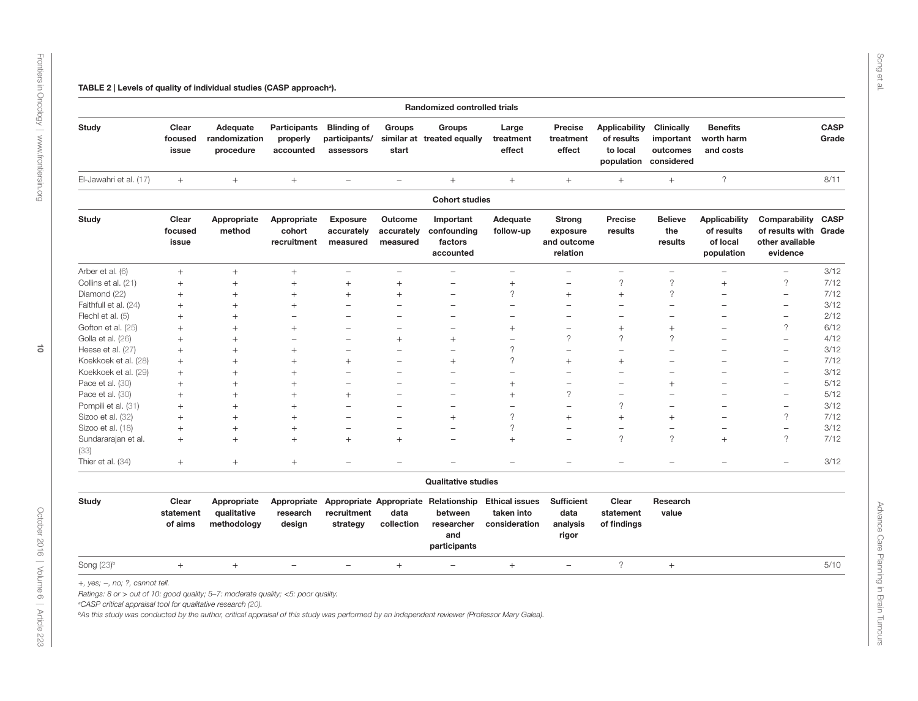TABLE 2 | Levels of quality of individual studies (CASP approach<sup>a</sup>).

|                             |                               |                                           |                                              |                                                  |                                   | <b>Randomized controlled trials</b>                                                  |                                                      |                                                      |                                                              |                                                          |                                                              |                                                                       |                      |
|-----------------------------|-------------------------------|-------------------------------------------|----------------------------------------------|--------------------------------------------------|-----------------------------------|--------------------------------------------------------------------------------------|------------------------------------------------------|------------------------------------------------------|--------------------------------------------------------------|----------------------------------------------------------|--------------------------------------------------------------|-----------------------------------------------------------------------|----------------------|
| <b>Study</b>                | Clear<br>focused<br>issue     | Adequate<br>randomization<br>procedure    | <b>Participants</b><br>properly<br>accounted | <b>Blinding of</b><br>participants/<br>assessors | Groups<br>start                   | <b>Groups</b><br>similar at treated equally                                          | Large<br>treatment<br>effect                         | Precise<br>treatment<br>effect                       | <b>Applicability</b><br>of results<br>to local<br>population | <b>Clinically</b><br>important<br>outcomes<br>considered | <b>Benefits</b><br>worth harm<br>and costs                   |                                                                       | <b>CASP</b><br>Grade |
| El-Jawahri et al. (17)      | $+$                           | $+$                                       | $+$                                          | $\overline{a}$                                   | $\equiv$                          | $^{+}$                                                                               | $+$                                                  | $+$                                                  | $+$                                                          | $+$                                                      | $\overline{\phantom{a}}$                                     |                                                                       | 8/11                 |
|                             |                               |                                           |                                              |                                                  |                                   | <b>Cohort studies</b>                                                                |                                                      |                                                      |                                                              |                                                          |                                                              |                                                                       |                      |
| <b>Study</b>                | Clear<br>focused<br>issue     | Appropriate<br>method                     | Appropriate<br>cohort<br>recruitment         | <b>Exposure</b><br>accurately<br>measured        | Outcome<br>accurately<br>measured | Important<br>confounding<br>factors<br>accounted                                     | Adequate<br>follow-up                                | <b>Strong</b><br>exposure<br>and outcome<br>relation | <b>Precise</b><br>results                                    | <b>Believe</b><br>the<br>results                         | <b>Applicability</b><br>of results<br>of local<br>population | Comparability<br>of results with Grade<br>other available<br>evidence | <b>CASP</b>          |
| Arber et al. (6)            | $+$                           | $+$                                       | $+$                                          | $\overline{a}$                                   | $\overline{\phantom{a}}$          | $\overline{\phantom{0}}$                                                             | $\overline{\phantom{a}}$                             | $\overline{\phantom{0}}$                             | $\overline{a}$                                               | $\overline{\phantom{0}}$                                 | $\overline{\phantom{a}}$                                     | $\overline{\phantom{m}}$                                              | 3/12                 |
| Collins et al. (21)         | $^{+}$                        | $^{+}$                                    | $\ddot{}$                                    | $+$                                              | $+$                               | $\overline{\phantom{0}}$                                                             | $+$                                                  | $\overline{\phantom{0}}$                             | $\overline{\phantom{a}}$                                     | $\gamma$                                                 | $+$                                                          | $\gamma$                                                              | 7/12                 |
| Diamond (22)                | $^{+}$                        | $^{+}$                                    | $+$                                          | $+$                                              | $^{+}$                            |                                                                                      | $\overline{\phantom{0}}$                             | $^{+}$                                               | $^{+}$                                                       | $\overline{\phantom{0}}$                                 | $\overline{\phantom{0}}$                                     | $\overline{\phantom{m}}$                                              | 7/12                 |
| Faithfull et al. (24)       | $\ddot{}$                     | $\ddot{}$                                 | $+$                                          | $\overline{\phantom{0}}$                         | ۰                                 | $\equiv$                                                                             | $\overline{\phantom{0}}$                             | $\overline{\phantom{0}}$                             | $\overline{\phantom{0}}$                                     | $\overline{\phantom{0}}$                                 |                                                              | $\overline{\phantom{0}}$                                              | 3/12                 |
| Flechl et al. (5)           | $^{+}$                        | $^{+}$                                    |                                              | $\overline{\phantom{0}}$                         |                                   | $\overline{\phantom{0}}$                                                             | $\overline{\phantom{0}}$                             | $\overline{\phantom{0}}$                             | $\overline{\phantom{0}}$                                     | $\overline{\phantom{0}}$                                 |                                                              | $\overline{\phantom{0}}$                                              | 2/12                 |
| Gofton et al. (25)          | $\ddot{}$                     | $+$                                       | $+$                                          | $\overline{\phantom{0}}$                         |                                   | $\overline{\phantom{0}}$                                                             | $+$                                                  | $\overline{\phantom{0}}$                             | $^{+}$                                                       | $+$                                                      |                                                              | $\gamma$                                                              | 6/12                 |
| Golla et al. (26)           | $^{+}$                        | $\ddot{}$                                 | $\equiv$                                     | $\equiv$                                         | $+$                               | $\ddot{}$                                                                            | $\overline{\phantom{0}}$                             | $\overline{?}$                                       | $\gamma$                                                     | $\gamma$                                                 | $\equiv$                                                     | $\overline{\phantom{a}}$                                              | 4/12                 |
| Heese et al. (27)           | $+$                           | $^{+}$                                    | $^{+}$                                       | $\overline{\phantom{0}}$                         |                                   |                                                                                      | $\gamma$                                             | $\overline{\phantom{0}}$                             |                                                              | $\overline{\phantom{0}}$                                 |                                                              | $\overline{\phantom{a}}$                                              | 3/12                 |
| Koekkoek et al. (28)        | $+$                           | $\! + \!\!\!\!$                           | $+$                                          | $+$                                              | $\overline{\phantom{0}}$          | $^{+}$                                                                               | $\gamma$                                             | $^{+}$                                               | $\ddot{}$                                                    |                                                          |                                                              | $\overline{\phantom{a}}$                                              | 7/12                 |
| Koekkoek et al. (29)        | $+$                           | $+$                                       | $^{+}$                                       | $\overline{\phantom{0}}$                         | $\overline{\phantom{0}}$          | $\overline{a}$                                                                       | $\overline{\phantom{a}}$                             | $\overline{\phantom{0}}$                             | $\overline{\phantom{0}}$                                     | $\equiv$                                                 | $\equiv$                                                     | $\overline{\phantom{a}}$                                              | 3/12                 |
| Pace et al. (30)            | $^{+}$                        | $^{+}$                                    | $^{+}$                                       | $\overline{\phantom{0}}$                         |                                   | $\overline{\phantom{0}}$                                                             | $^{+}$                                               | $\overline{\phantom{0}}$                             | $\overline{\phantom{0}}$                                     | $^{+}$                                                   |                                                              | $\overline{\phantom{0}}$                                              | 5/12                 |
| Pace et al. (30)            | $\ddot{}$                     | $\ddot{}$                                 | $^{+}$                                       | $+$                                              | $\overline{\phantom{0}}$          | $\overline{\phantom{0}}$                                                             | $^{+}$                                               | $\gamma$                                             | $\overline{a}$                                               | $\overline{\phantom{0}}$                                 | $\overline{\phantom{0}}$                                     | $\overline{\phantom{a}}$                                              | 5/12                 |
| Pompili et al. (31)         | $\ddot{}$                     | $+$                                       | $^{+}$                                       | $\overline{\phantom{0}}$                         |                                   | $\overline{\phantom{0}}$                                                             | $\overline{\phantom{a}}$                             | $\overline{\phantom{0}}$                             | $\gamma$                                                     | $\equiv$                                                 | $\overline{\phantom{0}}$                                     | $\overline{\phantom{a}}$                                              | 3/12                 |
| Sizoo et al. (32)           | $\ddot{}$                     | $^{+}$                                    | $^{+}$                                       | $\overline{\phantom{0}}$                         |                                   | $^{+}$                                                                               | $\gamma$                                             | $^{+}$                                               | $^{+}$                                                       | $^{+}$                                                   |                                                              | $\gamma$                                                              | 7/12                 |
| Sizoo et al. (18)           | $\ddot{}$                     | $+$                                       | $^{+}$                                       | $\overline{\phantom{0}}$                         | $\equiv$                          | $\overline{a}$                                                                       | $\gamma$                                             | $\overline{a}$                                       | $\overline{a}$                                               | $\overline{\phantom{0}}$                                 | $\overline{\phantom{0}}$                                     | $\overline{\phantom{0}}$                                              | 3/12                 |
| Sundararajan et al.<br>(33) | $\ddot{}$                     | $+$                                       | $^{+}$                                       | $+$                                              | $+$                               | $\overline{a}$                                                                       | $^{+}$                                               | $\overline{\phantom{0}}$                             | $\gamma$                                                     | $\gamma$                                                 | $+$                                                          | $\gamma$                                                              | 7/12                 |
| Thier et al. (34)           | $+$                           | $+$                                       | $+$                                          | $\overline{\phantom{0}}$                         | $\overline{\phantom{0}}$          | $\overline{\phantom{0}}$                                                             | $\overline{\phantom{a}}$                             | $\overline{\phantom{0}}$                             | $\overline{\phantom{0}}$                                     | $\overline{\phantom{0}}$                                 | $\overline{\phantom{0}}$                                     | $\overline{\phantom{a}}$                                              | 3/12                 |
|                             |                               |                                           |                                              |                                                  |                                   | <b>Qualitative studies</b>                                                           |                                                      |                                                      |                                                              |                                                          |                                                              |                                                                       |                      |
| <b>Study</b>                | Clear<br>statement<br>of aims | Appropriate<br>qualitative<br>methodology | Appropriate<br>research<br>design            | recruitment<br>strategy                          | data<br>collection                | Appropriate Appropriate Relationship<br>between<br>researcher<br>and<br>participants | <b>Ethical issues</b><br>taken into<br>consideration | <b>Sufficient</b><br>data<br>analysis<br>rigor       | Clear<br>statement<br>of findings                            | Research<br>value                                        |                                                              |                                                                       |                      |
| Song (23) <sup>b</sup>      | $^{+}$                        | $^{+}$                                    |                                              | $\overline{\phantom{0}}$                         | $+$                               | $\overline{\phantom{0}}$                                                             | $^{+}$                                               | $\overline{\phantom{0}}$                             | $\overline{\phantom{a}}$                                     | $^{+}$                                                   |                                                              |                                                                       | 5/10                 |

*aCASP critical appraisal tool for qualitative research [\(20\)](#page-12-42).*

<span id="page-9-0"></span>*bAs this study was conducted by the author, critical appraisal of this study was performed by an independent reviewer (Professor Mary Galea).*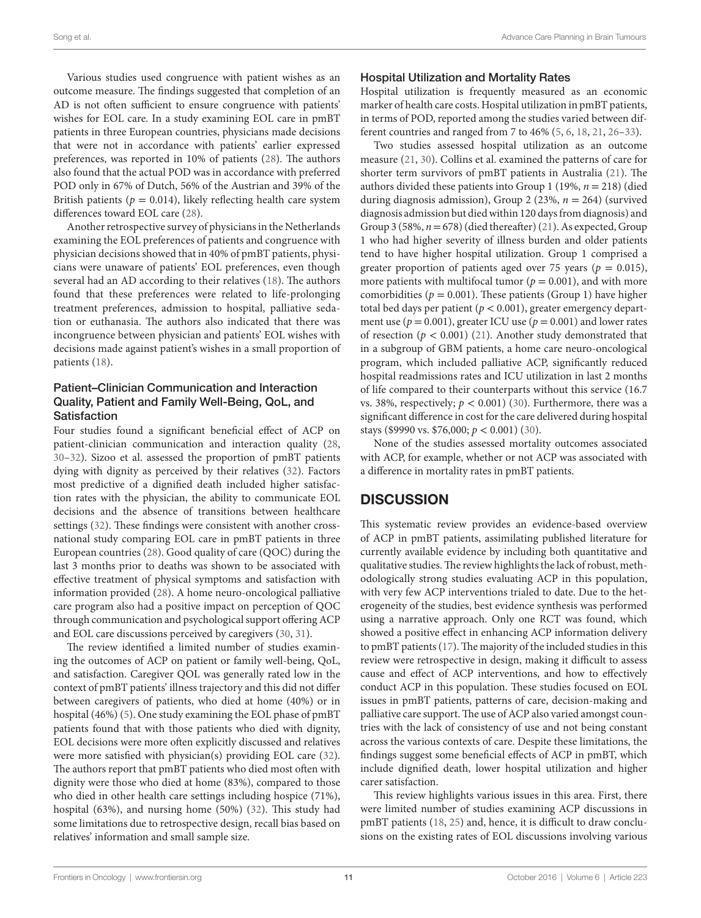Various studies used congruence with patient wishes as an outcome measure. The findings suggested that completion of an AD is not often sufficient to ensure congruence with patients' wishes for EOL care. In a study examining EOL care in pmBT patients in three European countries, physicians made decisions that were not in accordance with patients' earlier expressed preferences, was reported in 10% of patients [\(28](#page-12-22)). The authors also found that the actual POD was in accordance with preferred POD only in 67% of Dutch, 56% of the Austrian and 39% of the British patients ( $p = 0.014$ ), likely reflecting health care system differences toward EOL care ([28\)](#page-12-22).

Another retrospective survey of physicians in the Netherlands examining the EOL preferences of patients and congruence with physician decisions showed that in 40% of pmBT patients, physicians were unaware of patients' EOL preferences, even though several had an AD according to their relatives ([18\)](#page-12-17). The authors found that these preferences were related to life-prolonging treatment preferences, admission to hospital, palliative sedation or euthanasia. The authors also indicated that there was incongruence between physician and patients' EOL wishes with decisions made against patient's wishes in a small proportion of patients [\(18\)](#page-12-17).

#### Patient–Clinician Communication and Interaction Quality, Patient and Family Well-Being, QoL, and **Satisfaction**

Four studies found a significant beneficial effect of ACP on patient-clinician communication and interaction quality ([28,](#page-12-22) [30](#page-13-0)[–32\)](#page-13-1). Sizoo et al. assessed the proportion of pmBT patients dying with dignity as perceived by their relatives ([32\)](#page-13-1). Factors most predictive of a dignified death included higher satisfaction rates with the physician, the ability to communicate EOL decisions and the absence of transitions between healthcare settings ([32](#page-13-1)). These findings were consistent with another crossnational study comparing EOL care in pmBT patients in three European countries ([28\)](#page-12-22). Good quality of care (QOC) during the last 3 months prior to deaths was shown to be associated with effective treatment of physical symptoms and satisfaction with information provided [\(28](#page-12-22)). A home neuro-oncological palliative care program also had a positive impact on perception of QOC through communication and psychological support offering ACP and EOL care discussions perceived by caregivers [\(30,](#page-13-0) [31](#page-13-3)).

The review identified a limited number of studies examining the outcomes of ACP on patient or family well-being, QoL, and satisfaction. Caregiver QOL was generally rated low in the context of pmBT patients' illness trajectory and this did not differ between caregivers of patients, who died at home (40%) or in hospital (46%) [\(5\)](#page-12-4). One study examining the EOL phase of pmBT patients found that with those patients who died with dignity, EOL decisions were more often explicitly discussed and relatives were more satisfied with physician(s) providing EOL care ([32\)](#page-13-1). The authors report that pmBT patients who died most often with dignity were those who died at home (83%), compared to those who died in other health care settings including hospice (71%), hospital (63%), and nursing home (50%) ([32](#page-13-1)). This study had some limitations due to retrospective design, recall bias based on relatives' information and small sample size.

#### Hospital Utilization and Mortality Rates

Hospital utilization is frequently measured as an economic marker of health care costs. Hospital utilization in pmBT patients, in terms of POD, reported among the studies varied between different countries and ranged from 7 to 46% [\(5,](#page-12-4) [6](#page-12-5), [18,](#page-12-17) [21](#page-12-19), [26–](#page-12-24)[33\)](#page-13-2).

Two studies assessed hospital utilization as an outcome measure ([21,](#page-12-19) [30](#page-13-0)). Collins et al. examined the patterns of care for shorter term survivors of pmBT patients in Australia [\(21](#page-12-19)). The authors divided these patients into Group 1 (19%, *n* = 218) (died during diagnosis admission), Group 2 (23%, *n* = 264) (survived diagnosis admission but died within 120 days from diagnosis) and Group 3 (58%, *n*= 678) (died thereafter) ([21\)](#page-12-19). As expected, Group 1 who had higher severity of illness burden and older patients tend to have higher hospital utilization. Group 1 comprised a greater proportion of patients aged over 75 years ( $p = 0.015$ ), more patients with multifocal tumor ( $p = 0.001$ ), and with more comorbidities ( $p = 0.001$ ). These patients (Group 1) have higher total bed days per patient (*p* < 0.001), greater emergency department use ( $p = 0.001$ ), greater ICU use ( $p = 0.001$ ) and lower rates of resection  $(p < 0.001)$  ([21](#page-12-19)). Another study demonstrated that in a subgroup of GBM patients, a home care neuro-oncological program, which included palliative ACP, significantly reduced hospital readmissions rates and ICU utilization in last 2 months of life compared to their counterparts without this service (16.7 vs. 38%, respectively;  $p < 0.001$ ) ([30\)](#page-13-0). Furthermore, there was a significant difference in cost for the care delivered during hospital stays (\$9990 vs. \$76,000; *p* < 0.001) [\(30\)](#page-13-0).

None of the studies assessed mortality outcomes associated with ACP, for example, whether or not ACP was associated with a difference in mortality rates in pmBT patients.

## **DISCUSSION**

This systematic review provides an evidence-based overview of ACP in pmBT patients, assimilating published literature for currently available evidence by including both quantitative and qualitative studies. The review highlights the lack of robust, methodologically strong studies evaluating ACP in this population, with very few ACP interventions trialed to date. Due to the heterogeneity of the studies, best evidence synthesis was performed using a narrative approach. Only one RCT was found, which showed a positive effect in enhancing ACP information delivery to pmBT patients ([17\)](#page-12-16). The majority of the included studies in this review were retrospective in design, making it difficult to assess cause and effect of ACP interventions, and how to effectively conduct ACP in this population. These studies focused on EOL issues in pmBT patients, patterns of care, decision-making and palliative care support. The use of ACP also varied amongst countries with the lack of consistency of use and not being constant across the various contexts of care. Despite these limitations, the findings suggest some beneficial effects of ACP in pmBT, which include dignified death, lower hospital utilization and higher carer satisfaction.

This review highlights various issues in this area. First, there were limited number of studies examining ACP discussions in pmBT patients [\(18](#page-12-17), [25\)](#page-12-21) and, hence, it is difficult to draw conclusions on the existing rates of EOL discussions involving various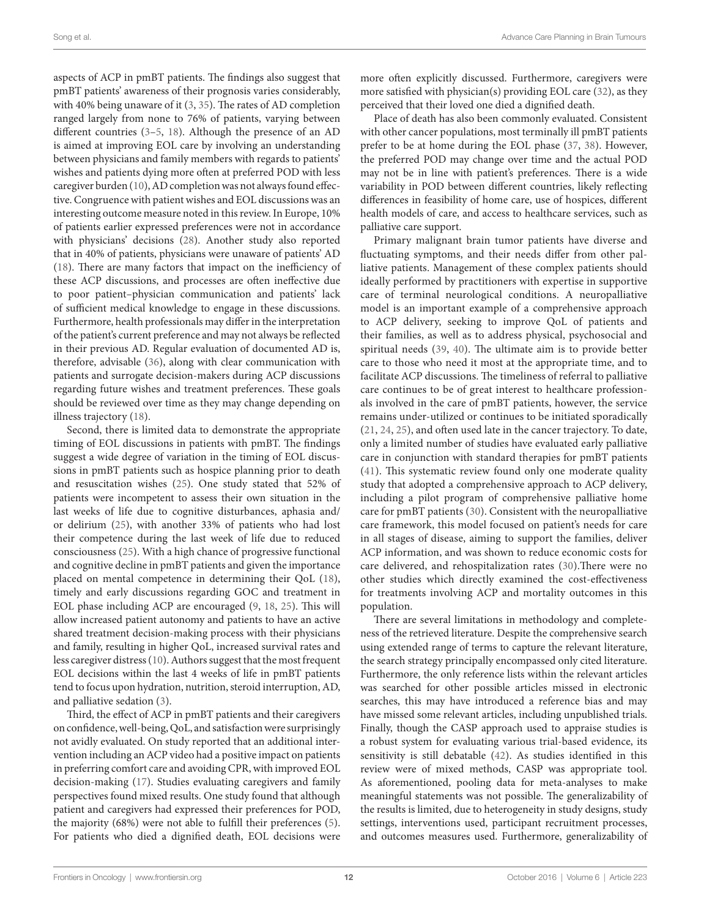aspects of ACP in pmBT patients. The findings also suggest that pmBT patients' awareness of their prognosis varies considerably, with 40% being unaware of it ([3](#page-12-2), [35\)](#page-13-10). The rates of AD completion ranged largely from none to 76% of patients, varying between different countries ([3](#page-12-2)[–5](#page-12-4), [18\)](#page-12-17). Although the presence of an AD is aimed at improving EOL care by involving an understanding between physicians and family members with regards to patients' wishes and patients dying more often at preferred POD with less caregiver burden [\(10](#page-12-8)), AD completion was not always found effective. Congruence with patient wishes and EOL discussions was an interesting outcome measure noted in this review. In Europe, 10% of patients earlier expressed preferences were not in accordance with physicians' decisions ([28\)](#page-12-22). Another study also reported that in 40% of patients, physicians were unaware of patients' AD ([18\)](#page-12-17). There are many factors that impact on the inefficiency of these ACP discussions, and processes are often ineffective due to poor patient–physician communication and patients' lack of sufficient medical knowledge to engage in these discussions. Furthermore, health professionals may differ in the interpretation of the patient's current preference and may not always be reflected in their previous AD. Regular evaluation of documented AD is, therefore, advisable [\(36](#page-13-11)), along with clear communication with patients and surrogate decision-makers during ACP discussions regarding future wishes and treatment preferences. These goals should be reviewed over time as they may change depending on illness trajectory [\(18](#page-12-17)).

Second, there is limited data to demonstrate the appropriate timing of EOL discussions in patients with pmBT. The findings suggest a wide degree of variation in the timing of EOL discussions in pmBT patients such as hospice planning prior to death and resuscitation wishes ([25\)](#page-12-21). One study stated that 52% of patients were incompetent to assess their own situation in the last weeks of life due to cognitive disturbances, aphasia and/ or delirium ([25\)](#page-12-21), with another 33% of patients who had lost their competence during the last week of life due to reduced consciousness [\(25](#page-12-21)). With a high chance of progressive functional and cognitive decline in pmBT patients and given the importance placed on mental competence in determining their QoL ([18\)](#page-12-17), timely and early discussions regarding GOC and treatment in EOL phase including ACP are encouraged ([9](#page-12-7), [18,](#page-12-17) [25\)](#page-12-21). This will allow increased patient autonomy and patients to have an active shared treatment decision-making process with their physicians and family, resulting in higher QoL, increased survival rates and less caregiver distress [\(10](#page-12-8)). Authors suggest that the most frequent EOL decisions within the last 4 weeks of life in pmBT patients tend to focus upon hydration, nutrition, steroid interruption, AD, and palliative sedation ([3](#page-12-2)).

Third, the effect of ACP in pmBT patients and their caregivers on confidence, well-being, QoL, and satisfaction were surprisingly not avidly evaluated. On study reported that an additional intervention including an ACP video had a positive impact on patients in preferring comfort care and avoiding CPR, with improved EOL decision-making ([17\)](#page-12-16). Studies evaluating caregivers and family perspectives found mixed results. One study found that although patient and caregivers had expressed their preferences for POD, the majority (68%) were not able to fulfill their preferences [\(5\)](#page-12-4). For patients who died a dignified death, EOL decisions were more often explicitly discussed. Furthermore, caregivers were more satisfied with physician(s) providing EOL care [\(32](#page-13-1)), as they perceived that their loved one died a dignified death.

Place of death has also been commonly evaluated. Consistent with other cancer populations, most terminally ill pmBT patients prefer to be at home during the EOL phase [\(37](#page-13-12), [38\)](#page-13-13). However, the preferred POD may change over time and the actual POD may not be in line with patient's preferences. There is a wide variability in POD between different countries, likely reflecting differences in feasibility of home care, use of hospices, different health models of care, and access to healthcare services, such as palliative care support.

Primary malignant brain tumor patients have diverse and fluctuating symptoms, and their needs differ from other palliative patients. Management of these complex patients should ideally performed by practitioners with expertise in supportive care of terminal neurological conditions. A neuropalliative model is an important example of a comprehensive approach to ACP delivery, seeking to improve QoL of patients and their families, as well as to address physical, psychosocial and spiritual needs [\(39](#page-13-14), [40](#page-13-15)). The ultimate aim is to provide better care to those who need it most at the appropriate time, and to facilitate ACP discussions. The timeliness of referral to palliative care continues to be of great interest to healthcare professionals involved in the care of pmBT patients, however, the service remains under-utilized or continues to be initiated sporadically [\(21,](#page-12-19) [24](#page-12-25), [25\)](#page-12-21), and often used late in the cancer trajectory. To date, only a limited number of studies have evaluated early palliative care in conjunction with standard therapies for pmBT patients [\(41\)](#page-13-16). This systematic review found only one moderate quality study that adopted a comprehensive approach to ACP delivery, including a pilot program of comprehensive palliative home care for pmBT patients ([30](#page-13-0)). Consistent with the neuropalliative care framework, this model focused on patient's needs for care in all stages of disease, aiming to support the families, deliver ACP information, and was shown to reduce economic costs for care delivered, and rehospitalization rates ([30](#page-13-0)).There were no other studies which directly examined the cost-effectiveness for treatments involving ACP and mortality outcomes in this population.

There are several limitations in methodology and completeness of the retrieved literature. Despite the comprehensive search using extended range of terms to capture the relevant literature, the search strategy principally encompassed only cited literature. Furthermore, the only reference lists within the relevant articles was searched for other possible articles missed in electronic searches, this may have introduced a reference bias and may have missed some relevant articles, including unpublished trials. Finally, though the CASP approach used to appraise studies is a robust system for evaluating various trial-based evidence, its sensitivity is still debatable [\(42](#page-13-17)). As studies identified in this review were of mixed methods, CASP was appropriate tool. As aforementioned, pooling data for meta-analyses to make meaningful statements was not possible. The generalizability of the results is limited, due to heterogeneity in study designs, study settings, interventions used, participant recruitment processes, and outcomes measures used. Furthermore, generalizability of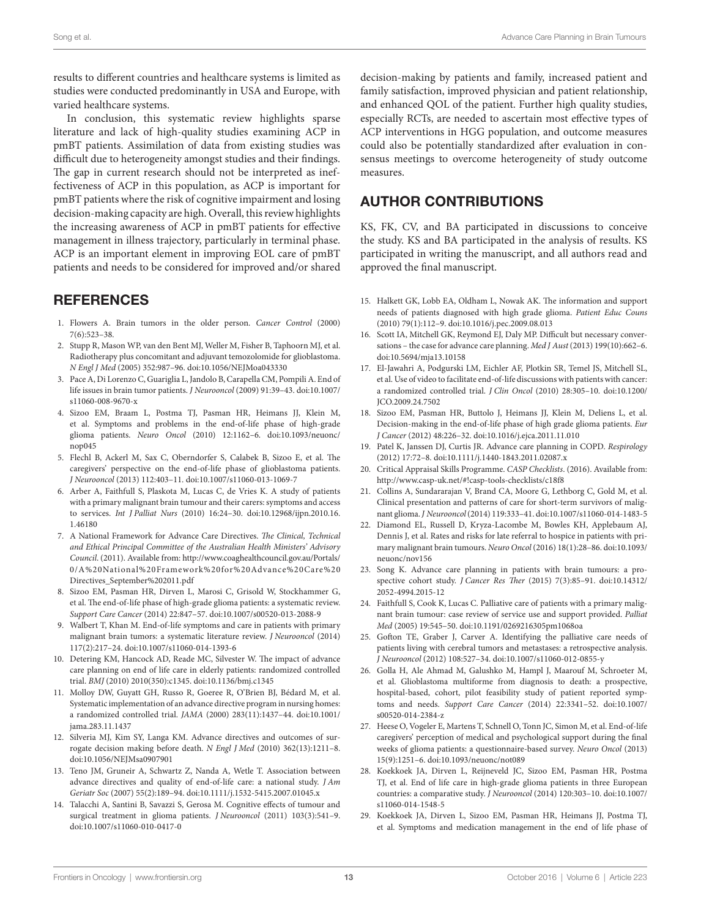results to different countries and healthcare systems is limited as studies were conducted predominantly in USA and Europe, with varied healthcare systems.

In conclusion, this systematic review highlights sparse literature and lack of high-quality studies examining ACP in pmBT patients. Assimilation of data from existing studies was difficult due to heterogeneity amongst studies and their findings. The gap in current research should not be interpreted as ineffectiveness of ACP in this population, as ACP is important for pmBT patients where the risk of cognitive impairment and losing decision-making capacity are high. Overall, this review highlights the increasing awareness of ACP in pmBT patients for effective management in illness trajectory, particularly in terminal phase. ACP is an important element in improving EOL care of pmBT patients and needs to be considered for improved and/or shared

## **REFERENCES**

- <span id="page-12-0"></span>1. Flowers A. Brain tumors in the older person. *Cancer Control* (2000) 7(6):523–38.
- <span id="page-12-1"></span>2. Stupp R, Mason WP, van den Bent MJ, Weller M, Fisher B, Taphoorn MJ, et al. Radiotherapy plus concomitant and adjuvant temozolomide for glioblastoma. *N Engl J Med* (2005) 352:987–96. doi:[10.1056/NEJMoa043330](http://dx.doi.org/10.1056/NEJMoa043330)
- <span id="page-12-2"></span>3. Pace A, Di Lorenzo C, Guariglia L, Jandolo B, Carapella CM, Pompili A. End of life issues in brain tumor patients. *J Neurooncol* (2009) 91:39–43. doi[:10.1007/](http://dx.doi.org/10.1007/s11060-008-9670-x) [s11060-008-9670-x](http://dx.doi.org/10.1007/s11060-008-9670-x)
- <span id="page-12-37"></span><span id="page-12-36"></span><span id="page-12-3"></span>4. Sizoo EM, Braam L, Postma TJ, Pasman HR, Heimans JJ, Klein M, et al. Symptoms and problems in the end-of-life phase of high-grade glioma patients. *Neuro Oncol* (2010) 12:1162–6. doi:[10.1093/neuonc/](http://dx.doi.org/10.1093/neuonc/nop045) [nop045](http://dx.doi.org/10.1093/neuonc/nop045)
- <span id="page-12-4"></span>5. Flechl B, Ackerl M, Sax C, Oberndorfer S, Calabek B, Sizoo E, et al. The caregivers' perspective on the end-of-life phase of glioblastoma patients. *J Neurooncol* (2013) 112:403–11. doi[:10.1007/s11060-013-1069-7](http://dx.doi.org/10.1007/s11060-013-1069-7)
- <span id="page-12-5"></span>6. Arber A, Faithfull S, Plaskota M, Lucas C, de Vries K. A study of patients with a primary malignant brain tumour and their carers: symptoms and access to services. *Int J Palliat Nurs* (2010) 16:24–30. doi[:10.12968/ijpn.2010.16.](http://dx.doi.org/10.12968/ijpn.2010.16.1.46180) [1.46180](http://dx.doi.org/10.12968/ijpn.2010.16.1.46180)
- <span id="page-12-13"></span><span id="page-12-6"></span>7. A National Framework for Advance Care Directives. *The Clinical, Technical and Ethical Principal Committee of the Australian Health Ministers' Advisory Council*. (2011). Available from: [http://www.coaghealthcouncil.gov.au/Portals/](http://www.coaghealthcouncil.gov.au/Portals/0/A%20National%20Framework%20for%20Advance%20Care%20Directives_September%202011.pdf) [0/A%20National%20Framework%20for%20Advance%20Care%20](http://www.coaghealthcouncil.gov.au/Portals/0/A%20National%20Framework%20for%20Advance%20Care%20Directives_September%202011.pdf) [Directives\\_September%202011.pdf](http://www.coaghealthcouncil.gov.au/Portals/0/A%20National%20Framework%20for%20Advance%20Care%20Directives_September%202011.pdf)
- <span id="page-12-7"></span>8. Sizoo EM, Pasman HR, Dirven L, Marosi C, Grisold W, Stockhammer G, et al. The end-of-life phase of high-grade glioma patients: a systematic review. *Support Care Cancer* (2014) 22:847–57. doi[:10.1007/s00520-013-2088-9](http://dx.doi.org/10.1007/s00520-013-2088-9)
- <span id="page-12-8"></span>9. Walbert T, Khan M. End-of-life symptoms and care in patients with primary malignant brain tumors: a systematic literature review. *J Neurooncol* (2014) 117(2):217–24. doi[:10.1007/s11060-014-1393-6](http://dx.doi.org/10.1007/s11060-014-1393-6)
- <span id="page-12-9"></span>10. Detering KM, Hancock AD, Reade MC, Silvester W. The impact of advance care planning on end of life care in elderly patients: randomized controlled trial. *BMJ* (2010) 2010(350):c1345. doi:[10.1136/bmj.c1345](http://dx.doi.org/10.1136/bmj.c1345)
- <span id="page-12-10"></span>11. Molloy DW, Guyatt GH, Russo R, Goeree R, O'Brien BJ, Bédard M, et al. Systematic implementation of an advance directive program in nursing homes: a randomized controlled trial. *JAMA* (2000) 283(11):1437–44. doi[:10.1001/](http://dx.doi.org/10.1001/jama.283.11.1437) [jama.283.11.1437](http://dx.doi.org/10.1001/jama.283.11.1437)
- <span id="page-12-11"></span>12. Silveria MJ, Kim SY, Langa KM. Advance directives and outcomes of surrogate decision making before death. *N Engl J Med* (2010) 362(13):1211–8. doi:[10.1056/NEJMsa0907901](http://dx.doi.org/10.1056/NEJMsa0907901)
- <span id="page-12-12"></span>13. Teno JM, Gruneir A, Schwartz Z, Nanda A, Wetle T. Association between advance directives and quality of end-of-life care: a national study. *J Am Geriatr Soc* (2007) 55(2):189–94. doi:[10.1111/j.1532-5415.2007.01045.x](http://dx.doi.org/10.1111/j.1532-5415.2007.01045.x)
- <span id="page-12-14"></span>14. Talacchi A, Santini B, Savazzi S, Gerosa M. Cognitive effects of tumour and surgical treatment in glioma patients. *J Neurooncol* (2011) 103(3):541–9. doi:[10.1007/s11060-010-0417-0](http://dx.doi.org/10.1007/s11060-010-0417-0)

<span id="page-12-41"></span><span id="page-12-38"></span><span id="page-12-27"></span>decision-making by patients and family, increased patient and family satisfaction, improved physician and patient relationship, and enhanced QOL of the patient. Further high quality studies, especially RCTs, are needed to ascertain most effective types of ACP interventions in HGG population, and outcome measures could also be potentially standardized after evaluation in consensus meetings to overcome heterogeneity of study outcome measures.

## AUTHOR CONTRIBUTIONS

KS, FK, CV, and BA participated in discussions to conceive the study. KS and BA participated in the analysis of results. KS participated in writing the manuscript, and all authors read and approved the final manuscript.

- <span id="page-12-15"></span>15. Halkett GK, Lobb EA, Oldham L, Nowak AK. The information and support needs of patients diagnosed with high grade glioma. *Patient Educ Couns* (2010) 79(1):112–9. doi[:10.1016/j.pec.2009.08.013](http://dx.doi.org/10.1016/j.pec.2009.08.013)
- <span id="page-12-16"></span>16. Scott IA, Mitchell GK, Reymond EJ, Daly MP. Difficult but necessary conversations – the case for advance care planning. *Med J Aust* (2013) 199(10):662–6. doi:[10.5694/mja13.10158](http://dx.doi.org/10.5694/mja13.10158)
- <span id="page-12-17"></span>17. El-Jawahri A, Podgurski LM, Eichler AF, Plotkin SR, Temel JS, Mitchell SL, et al. Use of video to facilitate end-of-life discussions with patients with cancer: a randomized controlled trial. *J Clin Oncol* (2010) 28:305–10. doi[:10.1200/](http://dx.doi.org/10.1200/JCO.2009.24.7502) [JCO.2009.24.7502](http://dx.doi.org/10.1200/JCO.2009.24.7502)
- <span id="page-12-42"></span><span id="page-12-39"></span><span id="page-12-35"></span><span id="page-12-34"></span><span id="page-12-33"></span><span id="page-12-32"></span><span id="page-12-31"></span><span id="page-12-30"></span><span id="page-12-29"></span><span id="page-12-28"></span><span id="page-12-18"></span>18. Sizoo EM, Pasman HR, Buttolo J, Heimans JJ, Klein M, Deliens L, et al. Decision-making in the end-of-life phase of high grade glioma patients. *Eur J Cancer* (2012) 48:226–32. doi:[10.1016/j.ejca.2011.11.010](http://dx.doi.org/10.1016/j.ejca.2011.11.010)
- <span id="page-12-19"></span>19. Patel K, Janssen DJ, Curtis JR. Advance care planning in COPD. *Respirology* (2012) 17:72–8. doi:[10.1111/j.1440-1843.2011.02087.x](http://dx.doi.org/10.1111/j.1440-1843.2011.02087.x)
- 20. Critical Appraisal Skills Programme. *CASP Checklists*. (2016). Available from: <http://www.casp-uk.net/#!casp-tools-checklists/c18f8>
- <span id="page-12-20"></span>21. Collins A, Sundararajan V, Brand CA, Moore G, Lethborg C, Gold M, et al. Clinical presentation and patterns of care for short-term survivors of malignant glioma. *J Neurooncol* (2014) 119:333–41. doi:[10.1007/s11060-014-1483-5](http://dx.doi.org/10.1007/s11060-014-1483-5)
- <span id="page-12-23"></span>22. Diamond EL, Russell D, Kryza-Lacombe M, Bowles KH, Applebaum AJ, Dennis J, et al. Rates and risks for late referral to hospice in patients with primary malignant brain tumours. *Neuro Oncol* (2016) 18(1):28–86. doi[:10.1093/](http://dx.doi.org/10.1093/neuonc/nov156) [neuonc/nov156](http://dx.doi.org/10.1093/neuonc/nov156)
- <span id="page-12-25"></span>23. Song K. Advance care planning in patients with brain tumours: a prospective cohort study. *J Cancer Res Ther* (2015) 7(3):85–91. doi:[10.14312/](http://dx.doi.org/10.14312/2052-4994.2015-12) [2052-4994.2015-12](http://dx.doi.org/10.14312/2052-4994.2015-12)
- <span id="page-12-21"></span>24. Faithfull S, Cook K, Lucas C. Palliative care of patients with a primary malignant brain tumour: case review of service use and support provided. *Palliat Med* (2005) 19:545–50. doi:[10.1191/0269216305pm1068oa](http://dx.doi.org/10.1191/0269216305pm1068oa)
- <span id="page-12-24"></span>25. Gofton TE, Graber J, Carver A. Identifying the palliative care needs of patients living with cerebral tumors and metastases: a retrospective analysis. *J Neurooncol* (2012) 108:527–34. doi[:10.1007/s11060-012-0855-y](http://dx.doi.org/10.1007/s11060-012-0855-y)
- 26. Golla H, Ale Ahmad M, Galushko M, Hampl J, Maarouf M, Schroeter M, et al. Glioblastoma multiforme from diagnosis to death: a prospective, hospital-based, cohort, pilot feasibility study of patient reported symptoms and needs. *Support Care Cancer* (2014) 22:3341–52. doi[:10.1007/](http://dx.doi.org/10.1007/s00520-014-2384-z) [s00520-014-2384-z](http://dx.doi.org/10.1007/s00520-014-2384-z)
- <span id="page-12-26"></span><span id="page-12-22"></span>27. Heese O, Vogeler E, Martens T, Schnell O, Tonn JC, Simon M, et al. End-of-life caregivers' perception of medical and psychological support during the final weeks of glioma patients: a questionnaire-based survey. *Neuro Oncol* (2013) 15(9):1251–6. doi:[10.1093/neuonc/not089](http://dx.doi.org/10.1093/neuonc/not089)
- <span id="page-12-40"></span>28. Koekkoek JA, Dirven L, Reijneveld JC, Sizoo EM, Pasman HR, Postma TJ, et al. End of life care in high-grade glioma patients in three European countries: a comparative study. *J Neurooncol* (2014) 120:303–10. doi[:10.1007/](http://dx.doi.org/10.1007/s11060-014-1548-5) [s11060-014-1548-5](http://dx.doi.org/10.1007/s11060-014-1548-5)
- 29. Koekkoek JA, Dirven L, Sizoo EM, Pasman HR, Heimans JJ, Postma TJ, et al. Symptoms and medication management in the end of life phase of